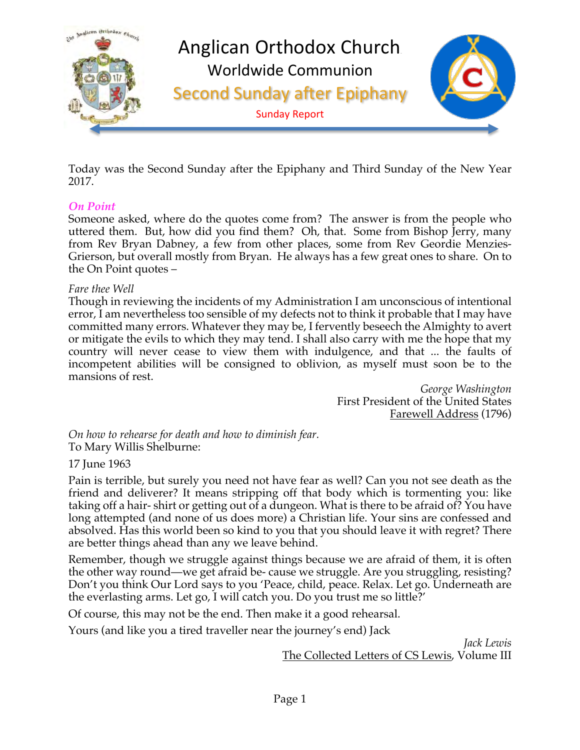

Today was the Second Sunday after the Epiphany and Third Sunday of the New Year 2017.

#### *On Point*

Someone asked, where do the quotes come from? The answer is from the people who uttered them. But, how did you find them? Oh, that. Some from Bishop Jerry, many from Rev Bryan Dabney, a few from other places, some from Rev Geordie Menzies-Grierson, but overall mostly from Bryan. He always has a few great ones to share. On to the On Point quotes –

#### *Fare thee Well*

Though in reviewing the incidents of my Administration I am unconscious of intentional error, I am nevertheless too sensible of my defects not to think it probable that I may have committed many errors. Whatever they may be, I fervently beseech the Almighty to avert or mitigate the evils to which they may tend. I shall also carry with me the hope that my country will never cease to view them with indulgence, and that ... the faults of incompetent abilities will be consigned to oblivion, as myself must soon be to the mansions of rest.

*George Washington* First President of the United States Farewell Address (1796)

*On how to rehearse for death and how to diminish fear.* To Mary Willis Shelburne:

#### 17 June 1963

Pain is terrible, but surely you need not have fear as well? Can you not see death as the friend and deliverer? It means stripping off that body which is tormenting you: like taking off a hair- shirt or getting out of a dungeon. What is there to be afraid of? You have long attempted (and none of us does more) a Christian life. Your sins are confessed and absolved. Has this world been so kind to you that you should leave it with regret? There are better things ahead than any we leave behind.

Remember, though we struggle against things because we are afraid of them, it is often the other way round—we get afraid be- cause we struggle. Are you struggling, resisting? Don't you think Our Lord says to you 'Peace, child, peace. Relax. Let go. Underneath are the everlasting arms. Let go, I will catch you. Do you trust me so little?'

Of course, this may not be the end. Then make it a good rehearsal.

Yours (and like you a tired traveller near the journey's end) Jack

*Jack Lewis* The Collected Letters of CS Lewis, Volume III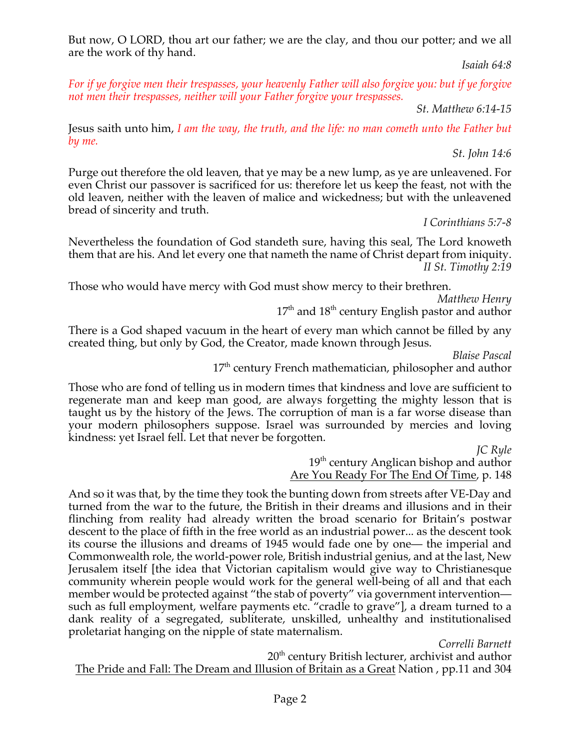But now, O LORD, thou art our father; we are the clay, and thou our potter; and we all are the work of thy hand.

*Isaiah 64:8*

For if ye forgive men their trespasses, your heavenly Father will also forgive you: but if ye forgive *not men their trespasses, neither will your Father forgive your trespasses.*

*St. Matthew 6:14-15*

Jesus saith unto him, *I am the way, the truth, and the life: no man cometh unto the Father but by me.*

*St. John 14:6*

Purge out therefore the old leaven, that ye may be a new lump, as ye are unleavened. For even Christ our passover is sacrificed for us: therefore let us keep the feast, not with the old leaven, neither with the leaven of malice and wickedness; but with the unleavened bread of sincerity and truth.

*I Corinthians 5:7-8*

Nevertheless the foundation of God standeth sure, having this seal, The Lord knoweth them that are his. And let every one that nameth the name of Christ depart from iniquity. *II St. Timothy 2:19*

Those who would have mercy with God must show mercy to their brethren.

*Matthew Henry*

 $17<sup>th</sup>$  and  $18<sup>th</sup>$  century English pastor and author

There is a God shaped vacuum in the heart of every man which cannot be filled by any created thing, but only by God, the Creator, made known through Jesus.

*Blaise Pascal*

17<sup>th</sup> century French mathematician, philosopher and author

Those who are fond of telling us in modern times that kindness and love are sufficient to regenerate man and keep man good, are always forgetting the mighty lesson that is taught us by the history of the Jews. The corruption of man is a far worse disease than your modern philosophers suppose. Israel was surrounded by mercies and loving kindness: yet Israel fell. Let that never be forgotten.

*JC Ryle*

19<sup>th</sup> century Anglican bishop and author Are You Ready For The End Of Time, p. 148

And so it was that, by the time they took the bunting down from streets after VE-Day and turned from the war to the future, the British in their dreams and illusions and in their flinching from reality had already written the broad scenario for Britain's postwar descent to the place of fifth in the free world as an industrial power... as the descent took its course the illusions and dreams of 1945 would fade one by one— the imperial and Commonwealth role, the world-power role, British industrial genius, and at the last, New Jerusalem itself [the idea that Victorian capitalism would give way to Christianesque community wherein people would work for the general well-being of all and that each member would be protected against "the stab of poverty" via government intervention such as full employment, welfare payments etc. "cradle to grave"], a dream turned to a dank reality of a segregated, subliterate, unskilled, unhealthy and institutionalised proletariat hanging on the nipple of state maternalism.

*Correlli Barnett*

20<sup>th</sup> century British lecturer, archivist and author The Pride and Fall: The Dream and Illusion of Britain as a Great Nation , pp.11 and 304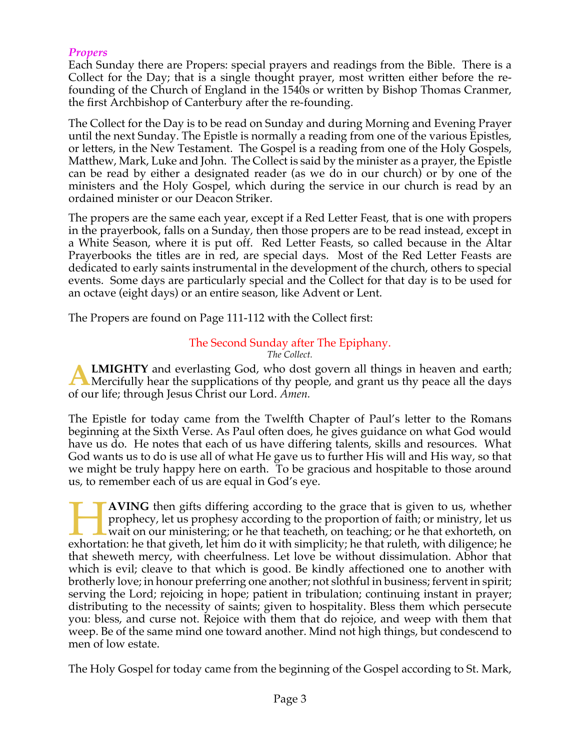#### *Propers*

Each Sunday there are Propers: special prayers and readings from the Bible. There is a Collect for the Day; that is a single thought prayer, most written either before the refounding of the Church of England in the 1540s or written by Bishop Thomas Cranmer, the first Archbishop of Canterbury after the re-founding.

The Collect for the Day is to be read on Sunday and during Morning and Evening Prayer until the next Sunday. The Epistle is normally a reading from one of the various Epistles, or letters, in the New Testament. The Gospel is a reading from one of the Holy Gospels, Matthew, Mark, Luke and John. The Collect is said by the minister as a prayer, the Epistle can be read by either a designated reader (as we do in our church) or by one of the ministers and the Holy Gospel, which during the service in our church is read by an ordained minister or our Deacon Striker.

The propers are the same each year, except if a Red Letter Feast, that is one with propers in the prayerbook, falls on a Sunday, then those propers are to be read instead, except in a White Season, where it is put off. Red Letter Feasts, so called because in the Altar Prayerbooks the titles are in red, are special days. Most of the Red Letter Feasts are dedicated to early saints instrumental in the development of the church, others to special events. Some days are particularly special and the Collect for that day is to be used for an octave (eight days) or an entire season, like Advent or Lent.

The Propers are found on Page 111-112 with the Collect first:

# The Second Sunday after The Epiphany.

*The Collect.*

**LMIGHTY** and everlasting God, who dost govern all things in heaven and earth; **ALMIGHTY** and everlasting God, who dost govern all things in heaven and earth;<br>Mercifully hear the supplications of thy people, and grant us thy peace all the days of our life; through Jesus Christ our Lord. *Amen.*

The Epistle for today came from the Twelfth Chapter of Paul's letter to the Romans beginning at the Sixth Verse. As Paul often does, he gives guidance on what God would have us do. He notes that each of us have differing talents, skills and resources. What God wants us to do is use all of what He gave us to further His will and His way, so that we might be truly happy here on earth. To be gracious and hospitable to those around us, to remember each of us are equal in God's eye.

**AVING** then gifts differing according to the grace that is given to us, whether prophecy, let us prophesy according to the proportion of faith; or ministry, let us wait on our ministering; or he that teacheth, on teaching; or he that exhorteth, on **EXECUTE AVING** then gifts differing according to the grace that is given to us, whether prophecy, let us prophesy according to the proportion of faith; or ministry, let us wait on our ministering; or he that teacheth, on that sheweth mercy, with cheerfulness. Let love be without dissimulation. Abhor that which is evil; cleave to that which is good. Be kindly affectioned one to another with brotherly love; in honour preferring one another; not slothful in business; fervent in spirit; serving the Lord; rejoicing in hope; patient in tribulation; continuing instant in prayer; distributing to the necessity of saints; given to hospitality. Bless them which persecute you: bless, and curse not. Rejoice with them that do rejoice, and weep with them that weep. Be of the same mind one toward another. Mind not high things, but condescend to men of low estate.

The Holy Gospel for today came from the beginning of the Gospel according to St. Mark,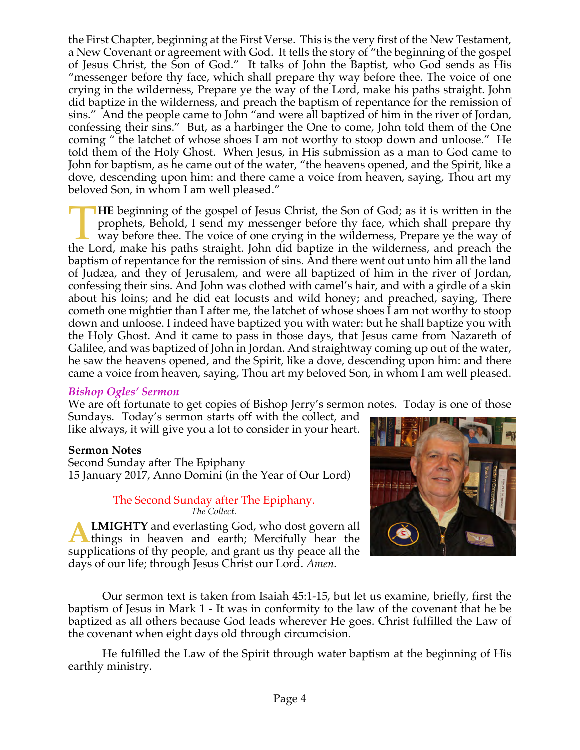the First Chapter, beginning at the First Verse. This is the very first of the New Testament, a New Covenant or agreement with God. It tells the story of "the beginning of the gospel of Jesus Christ, the Son of God." It talks of John the Baptist, who God sends as His "messenger before thy face, which shall prepare thy way before thee. The voice of one crying in the wilderness, Prepare ye the way of the Lord, make his paths straight. John did baptize in the wilderness, and preach the baptism of repentance for the remission of sins." And the people came to John "and were all baptized of him in the river of Jordan, confessing their sins." But, as a harbinger the One to come, John told them of the One coming " the latchet of whose shoes I am not worthy to stoop down and unloose." He told them of the Holy Ghost. When Jesus, in His submission as a man to God came to John for baptism, as he came out of the water, "the heavens opened, and the Spirit, like a dove, descending upon him: and there came a voice from heaven, saying, Thou art my beloved Son, in whom I am well pleased."

**HE** beginning of the gospel of Jesus Christ, the Son of God; as it is written in the prophets, Behold, I send my messenger before thy face, which shall prepare thy way before thee. The voice of one crying in the wilderness, Prepare ye the way of **THE** beginning of the gospel of Jesus Christ, the Son of God; as it is written in the prophets, Behold, I send my messenger before thy face, which shall prepare thy way before thee. The voice of one crying in the wilderne baptism of repentance for the remission of sins. And there went out unto him all the land of Judæa, and they of Jerusalem, and were all baptized of him in the river of Jordan, confessing their sins. And John was clothed with camel's hair, and with a girdle of a skin about his loins; and he did eat locusts and wild honey; and preached, saying, There cometh one mightier than I after me, the latchet of whose shoes I am not worthy to stoop down and unloose. I indeed have baptized you with water: but he shall baptize you with the Holy Ghost. And it came to pass in those days, that Jesus came from Nazareth of Galilee, and was baptized of John in Jordan. And straightway coming up out of the water, he saw the heavens opened, and the Spirit, like a dove, descending upon him: and there came a voice from heaven, saying, Thou art my beloved Son, in whom I am well pleased.

#### *Bishop Ogles' Sermon*

We are oft fortunate to get copies of Bishop Jerry's sermon notes. Today is one of those Sundays. Today's sermon starts off with the collect, and

like always, it will give you a lot to consider in your heart.

#### **Sermon Notes**

Second Sunday after The Epiphany 15 January 2017, Anno Domini (in the Year of Our Lord)

#### The Second Sunday after The Epiphany. *The Collect.*

**LMIGHTY** and everlasting God, who dost govern all things in heaven and earth; Mercifully hear the supplications of thy people, and grant us thy peace all the days of our life; through Jesus Christ our Lord. *Amen.* **A**



Our sermon text is taken from Isaiah 45:1-15, but let us examine, briefly, first the baptism of Jesus in Mark 1 - It was in conformity to the law of the covenant that he be baptized as all others because God leads wherever He goes. Christ fulfilled the Law of the covenant when eight days old through circumcision.

He fulfilled the Law of the Spirit through water baptism at the beginning of His earthly ministry.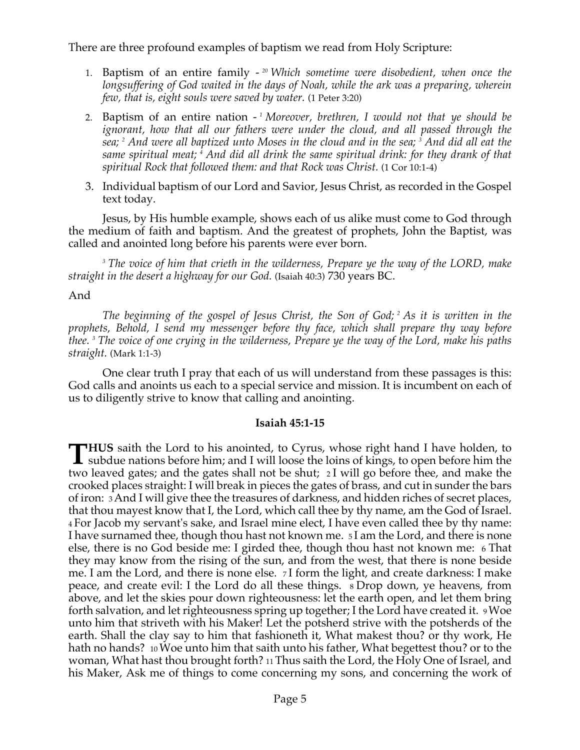There are three profound examples of baptism we read from Holy Scripture:

- 1. Baptism of an entire family *<sup>20</sup> Which sometime were disobedient, when once the longsuffering of God waited in the days of Noah, while the ark was a preparing, wherein few, that is, eight souls were saved by water.* (1 Peter 3:20)
- 2. Baptism of an entire nation *<sup>1</sup> Moreover, brethren, I would not that ye should be ignorant, how that all our fathers were under the cloud, and all passed through the sea; <sup>2</sup> And were all baptized unto Moses in the cloud and in the sea; <sup>3</sup> And did all eat the same spiritual meat; <sup>4</sup> And did all drink the same spiritual drink: for they drank of that spiritual Rock that followed them: and that Rock was Christ.* (1 Cor 10:1-4)
- 3. Individual baptism of our Lord and Savior, Jesus Christ, as recorded in the Gospel text today.

Jesus, by His humble example, shows each of us alike must come to God through the medium of faith and baptism. And the greatest of prophets, John the Baptist, was called and anointed long before his parents were ever born.

*<sup>3</sup> The voice of him that crieth in the wilderness, Prepare ye the way of the LORD, make straight in the desert a highway for our God.* (Isaiah 40:3) 730 years BC.

#### And

*The beginning of the gospel of Jesus Christ, the Son of God; <sup>2</sup> As it is written in the prophets, Behold, I send my messenger before thy face, which shall prepare thy way before thee. <sup>3</sup> The voice of one crying in the wilderness, Prepare ye the way of the Lord, make his paths straight.* (Mark 1:1-3)

One clear truth I pray that each of us will understand from these passages is this: God calls and anoints us each to a special service and mission. It is incumbent on each of us to diligently strive to know that calling and anointing.

#### **Isaiah 45:1-15**

**HUS** saith the Lord to his anointed, to Cyrus, whose right hand I have holden, to **THUS** saith the Lord to his anointed, to Cyrus, whose right hand I have holden, to subdue nations before him; and I will loose the loins of kings, to open before him the the local setting and the setting shall not be abou two leaved gates; and the gates shall not be shut; 2 I will go before thee, and make the crooked places straight: I will break in pieces the gates of brass, and cut in sunder the bars of iron: 3 And I will give thee the treasures of darkness, and hidden riches of secret places, that thou mayest know that I, the Lord, which call thee by thy name, am the God of Israel. 4 For Jacob my servant's sake, and Israel mine elect, I have even called thee by thy name: I have surnamed thee, though thou hast not known me. 5 I am the Lord, and there is none else, there is no God beside me: I girded thee, though thou hast not known me: 6 That they may know from the rising of the sun, and from the west, that there is none beside me. I am the Lord, and there is none else. 7 I form the light, and create darkness: I make peace, and create evil: I the Lord do all these things. 8 Drop down, ye heavens, from above, and let the skies pour down righteousness: let the earth open, and let them bring forth salvation, and let righteousness spring up together; I the Lord have created it. 9 Woe unto him that striveth with his Maker! Let the potsherd strive with the potsherds of the earth. Shall the clay say to him that fashioneth it, What makest thou? or thy work, He hath no hands? 10 Woe unto him that saith unto his father, What begettest thou? or to the woman, What hast thou brought forth? 11 Thus saith the Lord, the Holy One of Israel, and his Maker, Ask me of things to come concerning my sons, and concerning the work of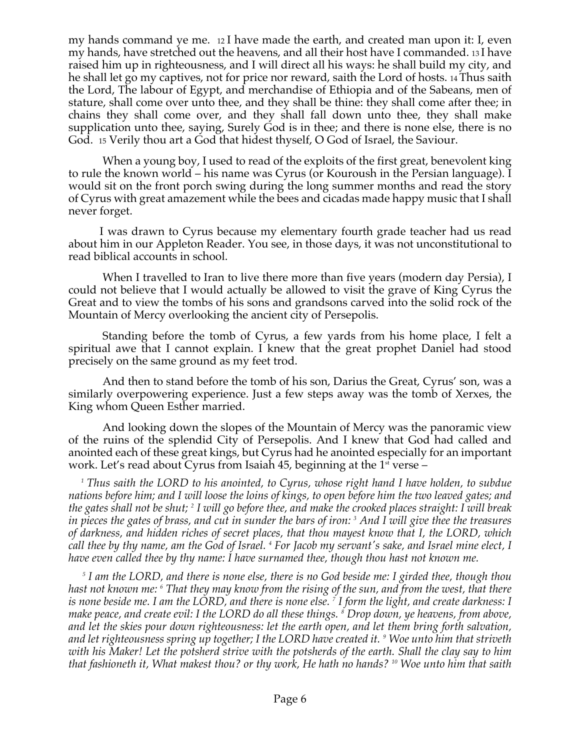my hands command ye me. 12 I have made the earth, and created man upon it: I, even my hands, have stretched out the heavens, and all their host have I commanded. 13 I have raised him up in righteousness, and I will direct all his ways: he shall build my city, and he shall let go my captives, not for price nor reward, saith the Lord of hosts. 14 Thus saith the Lord, The labour of Egypt, and merchandise of Ethiopia and of the Sabeans, men of stature, shall come over unto thee, and they shall be thine: they shall come after thee; in chains they shall come over, and they shall fall down unto thee, they shall make supplication unto thee, saying, Surely God is in thee; and there is none else, there is no God. 15 Verily thou art a God that hidest thyself, O God of Israel, the Saviour.

When a young boy, I used to read of the exploits of the first great, benevolent king to rule the known world – his name was Cyrus (or Kouroush in the Persian language). I would sit on the front porch swing during the long summer months and read the story of Cyrus with great amazement while the bees and cicadas made happy music that I shall never forget.

I was drawn to Cyrus because my elementary fourth grade teacher had us read about him in our Appleton Reader. You see, in those days, it was not unconstitutional to read biblical accounts in school.

When I travelled to Iran to live there more than five years (modern day Persia), I could not believe that I would actually be allowed to visit the grave of King Cyrus the Great and to view the tombs of his sons and grandsons carved into the solid rock of the Mountain of Mercy overlooking the ancient city of Persepolis.

Standing before the tomb of Cyrus, a few yards from his home place, I felt a spiritual awe that I cannot explain. I knew that the great prophet Daniel had stood precisely on the same ground as my feet trod.

And then to stand before the tomb of his son, Darius the Great, Cyrus' son, was a similarly overpowering experience. Just a few steps away was the tomb of Xerxes, the King whom Queen Esther married.

And looking down the slopes of the Mountain of Mercy was the panoramic view of the ruins of the splendid City of Persepolis. And I knew that God had called and anointed each of these great kings, but Cyrus had he anointed especially for an important work. Let's read about Cyrus from Isaiah 45, beginning at the  $1<sup>st</sup>$  verse –

 *1 Thus saith the LORD to his anointed, to Cyrus, whose right hand I have holden, to subdue nations before him; and I will loose the loins of kings, to open before him the two leaved gates; and the gates shall not be shut; <sup>2</sup> I will go before thee, and make the crooked places straight: I will break in pieces the gates of brass, and cut in sunder the bars of iron: <sup>3</sup> And I will give thee the treasures of darkness, and hidden riches of secret places, that thou mayest know that I, the LORD, which call thee by thy name, am the God of Israel. <sup>4</sup> For Jacob my servant's sake, and Israel mine elect, I have even called thee by thy name: I have surnamed thee, though thou hast not known me.*

*<sup>5</sup> I am the LORD, and there is none else, there is no God beside me: I girded thee, though thou hast not known me: <sup>6</sup> That they may know from the rising of the sun, and from the west, that there is none beside me. I am the LORD, and there is none else. <sup>7</sup> I form the light, and create darkness: I make peace, and create evil: I the LORD do all these things. <sup>8</sup> Drop down, ye heavens, from above, and let the skies pour down righteousness: let the earth open, and let them bring forth salvation, and let righteousness spring up together; I the LORD have created it. <sup>9</sup> Woe unto him that striveth with his Maker! Let the potsherd strive with the potsherds of the earth. Shall the clay say to him that fashioneth it, What makest thou? or thy work, He hath no hands? <sup>10</sup> Woe unto him that saith*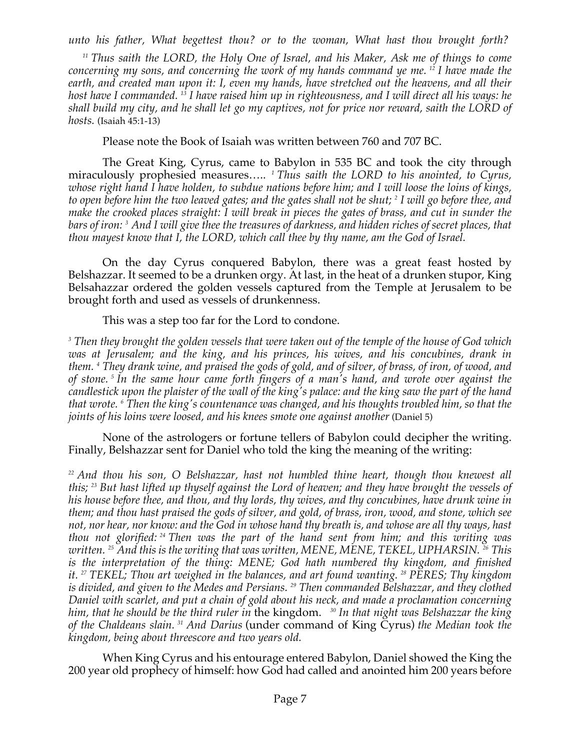*unto his father, What begettest thou? or to the woman, What hast thou brought forth?*

*<sup>11</sup> Thus saith the LORD, the Holy One of Israel, and his Maker, Ask me of things to come concerning my sons, and concerning the work of my hands command ye me. <sup>12</sup> I have made the earth, and created man upon it: I, even my hands, have stretched out the heavens, and all their host have I commanded. <sup>13</sup> I have raised him up in righteousness, and I will direct all his ways: he shall build my city, and he shall let go my captives, not for price nor reward, saith the LORD of hosts.* (Isaiah 45:1-13)

Please note the Book of Isaiah was written between 760 and 707 BC.

The Great King, Cyrus, came to Babylon in 535 BC and took the city through miraculously prophesied measures.....<sup>1</sup> *Thus saith the LORD to his anointed, to Cyrus, whose right hand I have holden, to subdue nations before him; and I will loose the loins of kings, to open before him the two leaved gates; and the gates shall not be shut; <sup>2</sup> I will go before thee, and make the crooked places straight: I will break in pieces the gates of brass, and cut in sunder the bars of iron: <sup>3</sup> And I will give thee the treasures of darkness, and hidden riches of secret places, that thou mayest know that I, the LORD, which call thee by thy name, am the God of Israel.*

On the day Cyrus conquered Babylon, there was a great feast hosted by Belshazzar. It seemed to be a drunken orgy. At last, in the heat of a drunken stupor, King Belsahazzar ordered the golden vessels captured from the Temple at Jerusalem to be brought forth and used as vessels of drunkenness.

This was a step too far for the Lord to condone.

*<sup>3</sup> Then they brought the golden vessels that were taken out of the temple of the house of God which was at Jerusalem; and the king, and his princes, his wives, and his concubines, drank in them. <sup>4</sup> They drank wine, and praised the gods of gold, and of silver, of brass, of iron, of wood, and of stone. <sup>5</sup> In the same hour came forth fingers of a man's hand, and wrote over against the candlestick upon the plaister of the wall of the king's palace: and the king saw the part of the hand that wrote. <sup>6</sup> Then the king's countenance was changed, and his thoughts troubled him, so that the joints of his loins were loosed, and his knees smote one against another* (Daniel 5)

None of the astrologers or fortune tellers of Babylon could decipher the writing. Finally, Belshazzar sent for Daniel who told the king the meaning of the writing:

*<sup>22</sup> And thou his son, O Belshazzar, hast not humbled thine heart, though thou knewest all this; <sup>23</sup> But hast lifted up thyself against the Lord of heaven; and they have brought the vessels of his house before thee, and thou, and thy lords, thy wives, and thy concubines, have drunk wine in them; and thou hast praised the gods of silver, and gold, of brass, iron, wood, and stone, which see not, nor hear, nor know: and the God in whose hand thy breath is, and whose are all thy ways, hast thou not glorified: <sup>24</sup> Then was the part of the hand sent from him; and this writing was written. <sup>25</sup> And this is the writing that was written, MENE, MENE, TEKEL, UPHARSIN. <sup>26</sup> This is the interpretation of the thing: MENE; God hath numbered thy kingdom, and finished it. <sup>27</sup> TEKEL; Thou art weighed in the balances, and art found wanting. <sup>28</sup> PERES; Thy kingdom is divided, and given to the Medes and Persians. <sup>29</sup> Then commanded Belshazzar, and they clothed Daniel with scarlet, and put a chain of gold about his neck, and made a proclamation concerning him, that he should be the third ruler in* the kingdom. *<sup>30</sup> In that night was Belshazzar the king of the Chaldeans slain. <sup>31</sup> And Darius* (under command of King Cyrus) *the Median took the kingdom, being about threescore and two years old.*

When King Cyrus and his entourage entered Babylon, Daniel showed the King the 200 year old prophecy of himself: how God had called and anointed him 200 years before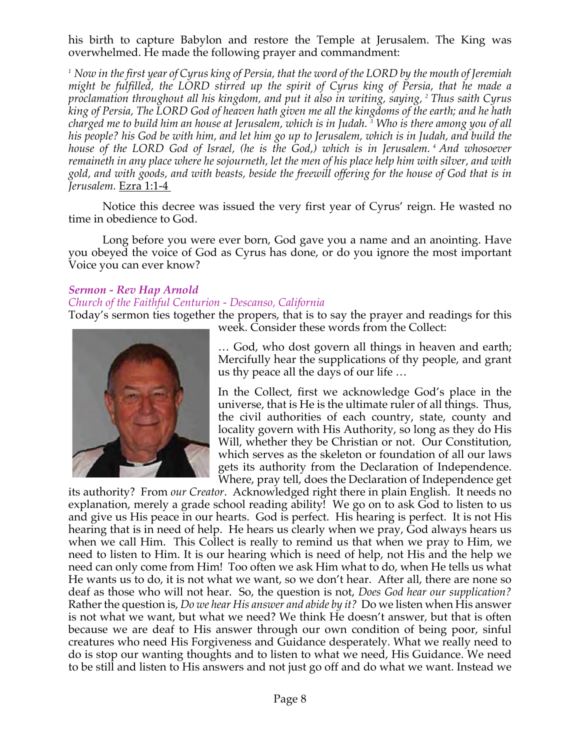his birth to capture Babylon and restore the Temple at Jerusalem. The King was overwhelmed. He made the following prayer and commandment:

*<sup>1</sup> Now in the first year of Cyrus king of Persia, that the word of the LORD by the mouth of Jeremiah might be fulfilled, the LORD stirred up the spirit of Cyrus king of Persia, that he made a proclamation throughout all his kingdom, and put it also in writing, saying, <sup>2</sup> Thus saith Cyrus king of Persia, The LORD God of heaven hath given me all the kingdoms of the earth; and he hath charged me to build him an house at Jerusalem, which is in Judah. <sup>3</sup> Who is there among you of all his people? his God be with him, and let him go up to Jerusalem, which is in Judah, and build the house of the LORD God of Israel, (he is the God,) which is in Jerusalem. <sup>4</sup> And whosoever remaineth in any place where he sojourneth, let the men of his place help him with silver, and with gold, and with goods, and with beasts, beside the freewill offering for the house of God that is in Jerusalem.* Ezra 1:1-4

Notice this decree was issued the very first year of Cyrus' reign. He wasted no time in obedience to God.

Long before you were ever born, God gave you a name and an anointing. Have you obeyed the voice of God as Cyrus has done, or do you ignore the most important Voice you can ever know?

#### *Sermon - Rev Hap Arnold*

#### *Church of the Faithful Centurion - Descanso, California*

Today's sermon ties together the propers, that is to say the prayer and readings for this week. Consider these words from the Collect:



… God, who dost govern all things in heaven and earth; Mercifully hear the supplications of thy people, and grant us thy peace all the days of our life …

In the Collect, first we acknowledge God's place in the universe, that is He is the ultimate ruler of all things. Thus, the civil authorities of each country, state, county and locality govern with His Authority, so long as they do His Will, whether they be Christian or not. Our Constitution, which serves as the skeleton or foundation of all our laws gets its authority from the Declaration of Independence. Where, pray tell, does the Declaration of Independence get

its authority? From *our Creator*. Acknowledged right there in plain English. It needs no explanation, merely a grade school reading ability! We go on to ask God to listen to us and give us His peace in our hearts. God is perfect. His hearing is perfect. It is not His hearing that is in need of help. He hears us clearly when we pray, God always hears us when we call Him. This Collect is really to remind us that when we pray to Him, we need to listen to Him. It is our hearing which is need of help, not His and the help we need can only come from Him! Too often we ask Him what to do, when He tells us what He wants us to do, it is not what we want, so we don't hear. After all, there are none so deaf as those who will not hear. So, the question is not, *Does God hear our supplication?* Rather the question is, *Do we hear His answer and abide by it?* Do we listen when His answer is not what we want, but what we need? We think He doesn't answer, but that is often because we are deaf to His answer through our own condition of being poor, sinful creatures who need His Forgiveness and Guidance desperately. What we really need to do is stop our wanting thoughts and to listen to what we need, His Guidance. We need to be still and listen to His answers and not just go off and do what we want. Instead we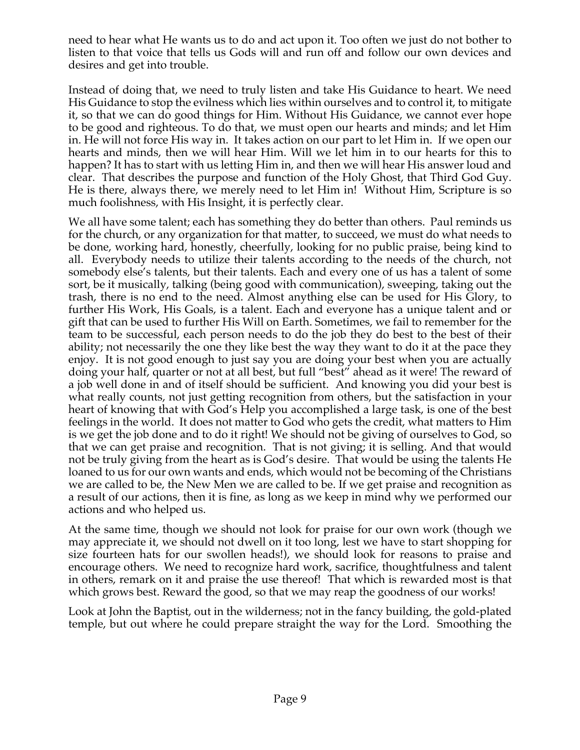need to hear what He wants us to do and act upon it. Too often we just do not bother to listen to that voice that tells us Gods will and run off and follow our own devices and desires and get into trouble.

Instead of doing that, we need to truly listen and take His Guidance to heart. We need His Guidance to stop the evilness which lies within ourselves and to control it, to mitigate it, so that we can do good things for Him. Without His Guidance, we cannot ever hope to be good and righteous. To do that, we must open our hearts and minds; and let Him in. He will not force His way in. It takes action on our part to let Him in. If we open our hearts and minds, then we will hear Him. Will we let him in to our hearts for this to happen? It has to start with us letting Him in, and then we will hear His answer loud and clear. That describes the purpose and function of the Holy Ghost, that Third God Guy. He is there, always there, we merely need to let Him in! Without Him, Scripture is so much foolishness, with His Insight, it is perfectly clear.

We all have some talent; each has something they do better than others. Paul reminds us for the church, or any organization for that matter, to succeed, we must do what needs to be done, working hard, honestly, cheerfully, looking for no public praise, being kind to all. Everybody needs to utilize their talents according to the needs of the church, not somebody else's talents, but their talents. Each and every one of us has a talent of some sort, be it musically, talking (being good with communication), sweeping, taking out the trash, there is no end to the need. Almost anything else can be used for His Glory, to further His Work, His Goals, is a talent. Each and everyone has a unique talent and or gift that can be used to further His Will on Earth. Sometimes, we fail to remember for the team to be successful, each person needs to do the job they do best to the best of their ability; not necessarily the one they like best the way they want to do it at the pace they enjoy. It is not good enough to just say you are doing your best when you are actually doing your half, quarter or not at all best, but full "best" ahead as it were! The reward of a job well done in and of itself should be sufficient. And knowing you did your best is what really counts, not just getting recognition from others, but the satisfaction in your heart of knowing that with God's Help you accomplished a large task, is one of the best feelings in the world. It does not matter to God who gets the credit, what matters to Him is we get the job done and to do it right! We should not be giving of ourselves to God, so that we can get praise and recognition. That is not giving; it is selling. And that would not be truly giving from the heart as is God's desire. That would be using the talents He loaned to us for our own wants and ends, which would not be becoming of the Christians we are called to be, the New Men we are called to be. If we get praise and recognition as a result of our actions, then it is fine, as long as we keep in mind why we performed our actions and who helped us.

At the same time, though we should not look for praise for our own work (though we may appreciate it, we should not dwell on it too long, lest we have to start shopping for size fourteen hats for our swollen heads!), we should look for reasons to praise and encourage others. We need to recognize hard work, sacrifice, thoughtfulness and talent in others, remark on it and praise the use thereof! That which is rewarded most is that which grows best. Reward the good, so that we may reap the goodness of our works!

Look at John the Baptist, out in the wilderness; not in the fancy building, the gold-plated temple, but out where he could prepare straight the way for the Lord. Smoothing the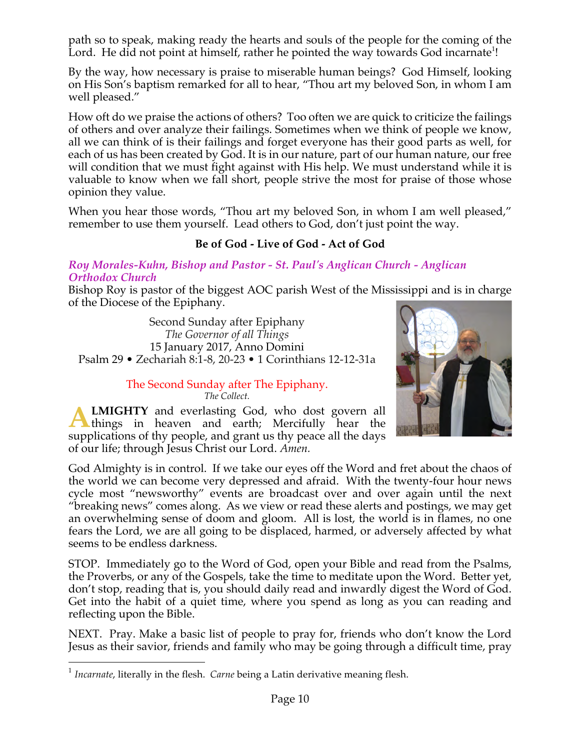path so to speak, making ready the hearts and souls of the people for the coming of the Lord. He did not point at himself, rather he pointed the way towards God incarnate<sup>1</sup>!

By the way, how necessary is praise to miserable human beings? God Himself, looking on His Son's baptism remarked for all to hear, "Thou art my beloved Son, in whom I am well pleased."

How oft do we praise the actions of others? Too often we are quick to criticize the failings of others and over analyze their failings. Sometimes when we think of people we know, all we can think of is their failings and forget everyone has their good parts as well, for each of us has been created by God. It is in our nature, part of our human nature, our free will condition that we must fight against with His help. We must understand while it is valuable to know when we fall short, people strive the most for praise of those whose opinion they value.

When you hear those words, "Thou art my beloved Son, in whom I am well pleased," remember to use them yourself. Lead others to God, don't just point the way.

## **Be of God - Live of God - Act of God**

#### *Roy Morales-Kuhn, Bishop and Pastor - St. Paul's Anglican Church - Anglican Orthodox Church*

Bishop Roy is pastor of the biggest AOC parish West of the Mississippi and is in charge of the Diocese of the Epiphany.

Second Sunday after Epiphany *The Governor of all Things* 15 January 2017, Anno Domini Psalm 29 • Zechariah 8:1-8, 20-23 • 1 Corinthians 12-12-31a

> The Second Sunday after The Epiphany. *The Collect.*





God Almighty is in control. If we take our eyes off the Word and fret about the chaos of the world we can become very depressed and afraid. With the twenty-four hour news cycle most "newsworthy" events are broadcast over and over again until the next "breaking news" comes along. As we view or read these alerts and postings, we may get an overwhelming sense of doom and gloom. All is lost, the world is in flames, no one fears the Lord, we are all going to be displaced, harmed, or adversely affected by what seems to be endless darkness.

STOP. Immediately go to the Word of God, open your Bible and read from the Psalms, the Proverbs, or any of the Gospels, take the time to meditate upon the Word. Better yet, don't stop, reading that is, you should daily read and inwardly digest the Word of God. Get into the habit of a quiet time, where you spend as long as you can reading and reflecting upon the Bible.

NEXT. Pray. Make a basic list of people to pray for, friends who don't know the Lord Jesus as their savior, friends and family who may be going through a difficult time, pray

 <sup>1</sup> *Incarnate*, literally in the flesh. *Carne* being <sup>a</sup> Latin derivative meaning flesh.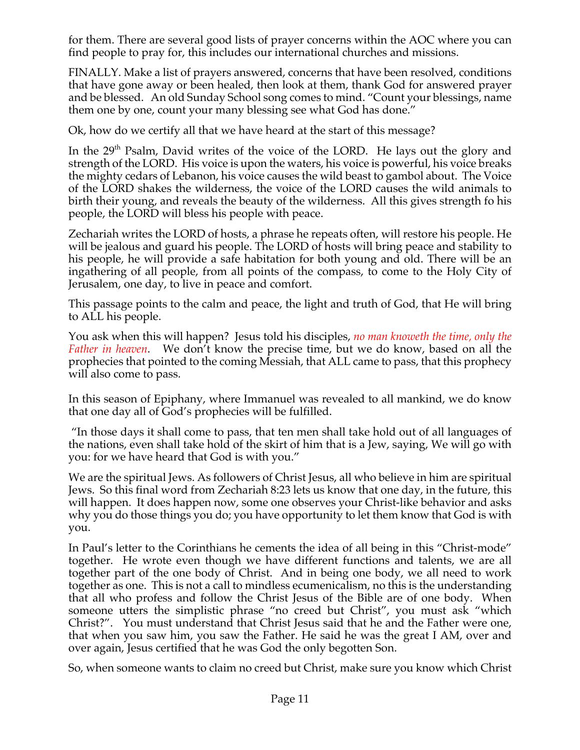for them. There are several good lists of prayer concerns within the AOC where you can find people to pray for, this includes our international churches and missions.

FINALLY. Make a list of prayers answered, concerns that have been resolved, conditions that have gone away or been healed, then look at them, thank God for answered prayer and be blessed. An old Sunday School song comes to mind. "Count your blessings, name them one by one, count your many blessing see what God has done."

Ok, how do we certify all that we have heard at the start of this message?

In the 29<sup>th</sup> Psalm, David writes of the voice of the LORD. He lays out the glory and strength of the LORD. His voice is upon the waters, his voice is powerful, his voice breaks the mighty cedars of Lebanon, his voice causes the wild beast to gambol about. The Voice of the LORD shakes the wilderness, the voice of the LORD causes the wild animals to birth their young, and reveals the beauty of the wilderness. All this gives strength fo his people, the LORD will bless his people with peace.

Zechariah writes the LORD of hosts, a phrase he repeats often, will restore his people. He will be jealous and guard his people. The LORD of hosts will bring peace and stability to his people, he will provide a safe habitation for both young and old. There will be an ingathering of all people, from all points of the compass, to come to the Holy City of Jerusalem, one day, to live in peace and comfort.

This passage points to the calm and peace, the light and truth of God, that He will bring to ALL his people.

You ask when this will happen? Jesus told his disciples, *no man knoweth the time, only the Father in heaven*. We don't know the precise time, but we do know, based on all the prophecies that pointed to the coming Messiah, that ALL came to pass, that this prophecy will also come to pass.

In this season of Epiphany, where Immanuel was revealed to all mankind, we do know that one day all of God's prophecies will be fulfilled.

"In those days it shall come to pass, that ten men shall take hold out of all languages of the nations, even shall take hold of the skirt of him that is a Jew, saying, We will go with you: for we have heard that God is with you."

We are the spiritual Jews. As followers of Christ Jesus, all who believe in him are spiritual Jews. So this final word from Zechariah 8:23 lets us know that one day, in the future, this will happen. It does happen now, some one observes your Christ-like behavior and asks why you do those things you do; you have opportunity to let them know that God is with you.

In Paul's letter to the Corinthians he cements the idea of all being in this "Christ-mode" together. He wrote even though we have different functions and talents, we are all together part of the one body of Christ. And in being one body, we all need to work together as one. This is not a call to mindless ecumenicalism, no this is the understanding that all who profess and follow the Christ Jesus of the Bible are of one body. When someone utters the simplistic phrase "no creed but Christ", you must ask "which Christ?". You must understand that Christ Jesus said that he and the Father were one, that when you saw him, you saw the Father. He said he was the great I AM, over and over again, Jesus certified that he was God the only begotten Son.

So, when someone wants to claim no creed but Christ, make sure you know which Christ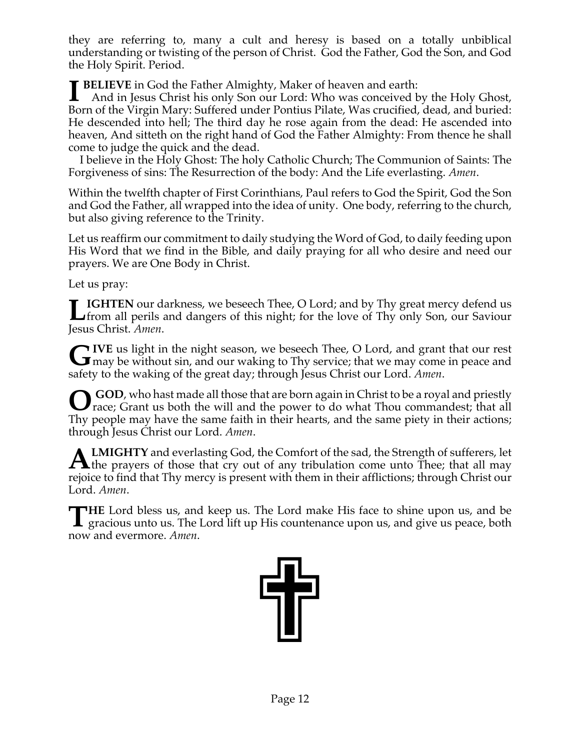they are referring to, many a cult and heresy is based on a totally unbiblical understanding or twisting of the person of Christ. God the Father, God the Son, and God the Holy Spirit. Period.

**BELIEVE** in God the Father Almighty, Maker of heaven and earth:<br>And in Jesus Christ his only Son our Lord: Who was conceived by And in Jesus Christ his only Son our Lord: Who was conceived by the Holy Ghost, Born of the Virgin Mary: Suffered under Pontius Pilate, Was crucified, dead, and buried: He descended into hell; The third day he rose again from the dead: He ascended into heaven, And sitteth on the right hand of God the Father Almighty: From thence he shall come to judge the quick and the dead.

 I believe in the Holy Ghost: The holy Catholic Church; The Communion of Saints: The Forgiveness of sins: The Resurrection of the body: And the Life everlasting. *Amen*.

Within the twelfth chapter of First Corinthians, Paul refers to God the Spirit, God the Son and God the Father, all wrapped into the idea of unity. One body, referring to the church, but also giving reference to the Trinity.

Let us reaffirm our commitment to daily studying the Word of God, to daily feeding upon His Word that we find in the Bible, and daily praying for all who desire and need our prayers. We are One Body in Christ.

Let us pray:

**IGHTEN** our darkness, we beseech Thee, O Lord; and by Thy great mercy defend us **IGHTEN** our darkness, we beseech Thee, O Lord; and by Thy great mercy defend us from all perils and dangers of this night; for the love of Thy only Son, our Saviour Jesus Christ. *Amen*.

**IVE** us light in the night season, we beseech Thee, O Lord, and grant that our rest **G**IVE us light in the night season, we beseech Thee, O Lord, and grant that our rest may be without sin, and our waking to Thy service; that we may come in peace and safety to the waking of the great day; through Jesus Christ our Lord. *Amen*.

GOD, who hast made all those that are born again in Christ to be a royal and priestly race; Grant us both the will and the power to do what Thou commandest; that all race; Grant us both the will and the power to do what Thou commandest; that all Thy people may have the same faith in their hearts, and the same piety in their actions; through Jesus Christ our Lord. *Amen*.

**LMIGHTY** and everlasting God, the Comfort of the sad, the Strength of sufferers, let **ALMIGHTY** and everlasting God, the Comfort of the sad, the Strength of sufferers, let<br>the prayers of those that cry out of any tribulation come unto Thee; that all may rejoice to find that Thy mercy is present with them in their afflictions; through Christ our Lord. *Amen*.

**HE** Lord bless us, and keep us. The Lord make His face to shine upon us, and be THE Lord bless us, and keep us. The Lord make His face to shine upon us, and be gracious unto us. The Lord lift up His countenance upon us, and give us peace, both now and evermore. *Amen*.

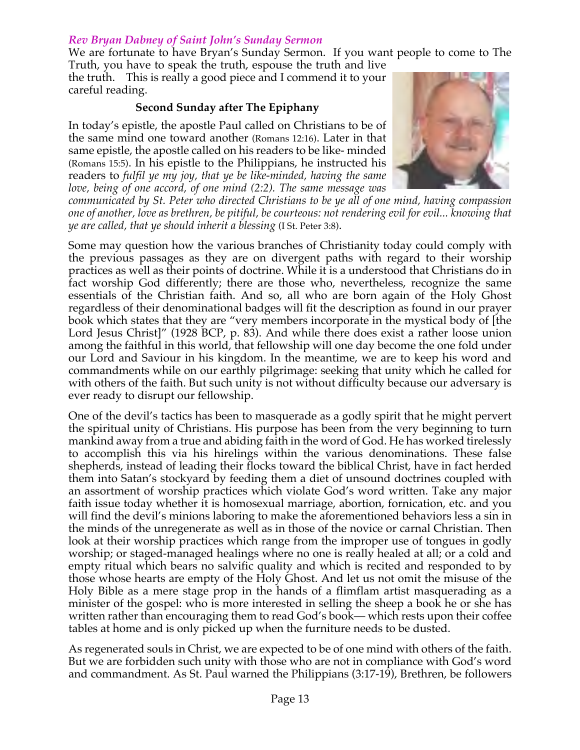## *Rev Bryan Dabney of Saint John's Sunday Sermon*

We are fortunate to have Bryan's Sunday Sermon. If you want people to come to The Truth, you have to speak the truth, espouse the truth and live

the truth. This is really a good piece and I commend it to your careful reading.

## **Second Sunday after The Epiphany**

In today's epistle, the apostle Paul called on Christians to be of the same mind one toward another (Romans 12:16). Later in that same epistle, the apostle called on his readers to be like- minded (Romans 15:5). In his epistle to the Philippians, he instructed his readers to *fulfil ye my joy, that ye be like-minded, having the same love, being of one accord, of one mind (2:2). The same message was*



*communicated by St. Peter who directed Christians to be ye all of one mind, having compassion one of another, love as brethren, be pitiful, be courteous: not rendering evil for evil... knowing that ye are called, that ye should inherit a blessing* (I St. Peter 3:8).

Some may question how the various branches of Christianity today could comply with the previous passages as they are on divergent paths with regard to their worship practices as well as their points of doctrine. While it is a understood that Christians do in fact worship God differently; there are those who, nevertheless, recognize the same essentials of the Christian faith. And so, all who are born again of the Holy Ghost regardless of their denominational badges will fit the description as found in our prayer book which states that they are "very members incorporate in the mystical body of [the Lord Jesus Christ]" (1928 BCP, p. 83). And while there does exist a rather loose union among the faithful in this world, that fellowship will one day become the one fold under our Lord and Saviour in his kingdom. In the meantime, we are to keep his word and commandments while on our earthly pilgrimage: seeking that unity which he called for with others of the faith. But such unity is not without difficulty because our adversary is ever ready to disrupt our fellowship.

One of the devil's tactics has been to masquerade as a godly spirit that he might pervert the spiritual unity of Christians. His purpose has been from the very beginning to turn mankind away from a true and abiding faith in the word of God. He has worked tirelessly to accomplish this via his hirelings within the various denominations. These false shepherds, instead of leading their flocks toward the biblical Christ, have in fact herded them into Satan's stockyard by feeding them a diet of unsound doctrines coupled with an assortment of worship practices which violate God's word written. Take any major faith issue today whether it is homosexual marriage, abortion, fornication, etc. and you will find the devil's minions laboring to make the aforementioned behaviors less a sin in the minds of the unregenerate as well as in those of the novice or carnal Christian. Then look at their worship practices which range from the improper use of tongues in godly worship; or staged-managed healings where no one is really healed at all; or a cold and empty ritual which bears no salvific quality and which is recited and responded to by those whose hearts are empty of the Holy Ghost. And let us not omit the misuse of the Holy Bible as a mere stage prop in the hands of a flimflam artist masquerading as a minister of the gospel: who is more interested in selling the sheep a book he or she has written rather than encouraging them to read God's book— which rests upon their coffee tables at home and is only picked up when the furniture needs to be dusted.

As regenerated souls in Christ, we are expected to be of one mind with others of the faith. But we are forbidden such unity with those who are not in compliance with God's word and commandment. As St. Paul warned the Philippians (3:17-19), Brethren, be followers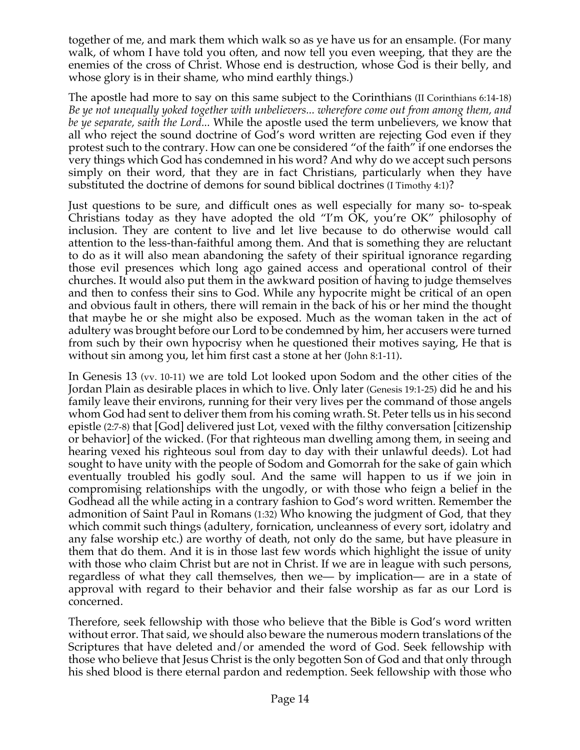together of me, and mark them which walk so as ye have us for an ensample. (For many walk, of whom I have told you often, and now tell you even weeping, that they are the enemies of the cross of Christ. Whose end is destruction, whose God is their belly, and whose glory is in their shame, who mind earthly things.)

The apostle had more to say on this same subject to the Corinthians (II Corinthians 6:14-18) *Be ye not unequally yoked together with unbelievers... wherefore come out from among them, and be ye separate, saith the Lord...* While the apostle used the term unbelievers, we know that all who reject the sound doctrine of God's word written are rejecting God even if they protest such to the contrary. How can one be considered "of the faith" if one endorses the very things which God has condemned in his word? And why do we accept such persons simply on their word, that they are in fact Christians, particularly when they have substituted the doctrine of demons for sound biblical doctrines (I Timothy 4:1)?

Just questions to be sure, and difficult ones as well especially for many so- to-speak Christians today as they have adopted the old "I'm OK, you're OK" philosophy of inclusion. They are content to live and let live because to do otherwise would call attention to the less-than-faithful among them. And that is something they are reluctant to do as it will also mean abandoning the safety of their spiritual ignorance regarding those evil presences which long ago gained access and operational control of their churches. It would also put them in the awkward position of having to judge themselves and then to confess their sins to God. While any hypocrite might be critical of an open and obvious fault in others, there will remain in the back of his or her mind the thought that maybe he or she might also be exposed. Much as the woman taken in the act of adultery was brought before our Lord to be condemned by him, her accusers were turned from such by their own hypocrisy when he questioned their motives saying, He that is without sin among you, let him first cast a stone at her (John 8:1-11).

In Genesis 13 (vv. 10-11) we are told Lot looked upon Sodom and the other cities of the Jordan Plain as desirable places in which to live. Only later (Genesis 19:1-25) did he and his family leave their environs, running for their very lives per the command of those angels whom God had sent to deliver them from his coming wrath. St. Peter tells us in his second epistle (2:7-8) that [God] delivered just Lot, vexed with the filthy conversation [citizenship or behavior] of the wicked. (For that righteous man dwelling among them, in seeing and hearing vexed his righteous soul from day to day with their unlawful deeds). Lot had sought to have unity with the people of Sodom and Gomorrah for the sake of gain which eventually troubled his godly soul. And the same will happen to us if we join in compromising relationships with the ungodly, or with those who feign a belief in the Godhead all the while acting in a contrary fashion to God's word written. Remember the admonition of Saint Paul in Romans (1:32) Who knowing the judgment of God, that they which commit such things (adultery, fornication, uncleanness of every sort, idolatry and any false worship etc.) are worthy of death, not only do the same, but have pleasure in them that do them. And it is in those last few words which highlight the issue of unity with those who claim Christ but are not in Christ. If we are in league with such persons, regardless of what they call themselves, then we— by implication— are in a state of approval with regard to their behavior and their false worship as far as our Lord is concerned.

Therefore, seek fellowship with those who believe that the Bible is God's word written without error. That said, we should also beware the numerous modern translations of the Scriptures that have deleted and/or amended the word of God. Seek fellowship with those who believe that Jesus Christ is the only begotten Son of God and that only through his shed blood is there eternal pardon and redemption. Seek fellowship with those who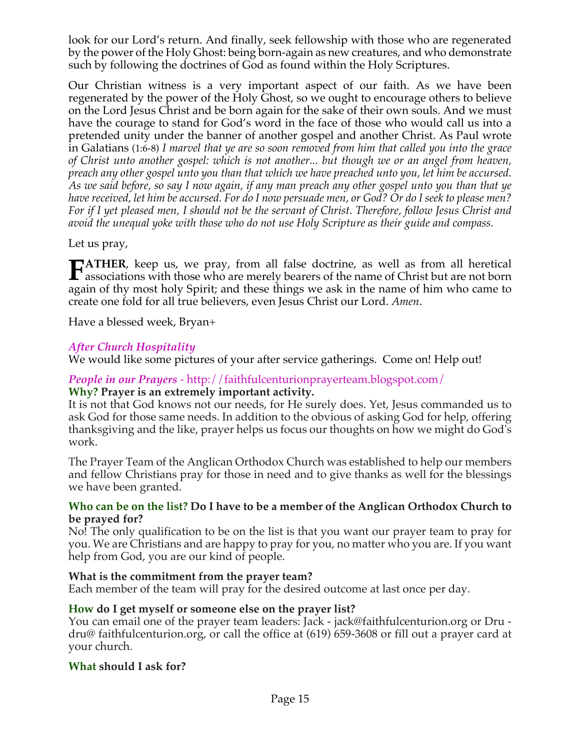look for our Lord's return. And finally, seek fellowship with those who are regenerated by the power of the Holy Ghost: being born-again as new creatures, and who demonstrate such by following the doctrines of God as found within the Holy Scriptures.

Our Christian witness is a very important aspect of our faith. As we have been regenerated by the power of the Holy Ghost, so we ought to encourage others to believe on the Lord Jesus Christ and be born again for the sake of their own souls. And we must have the courage to stand for God's word in the face of those who would call us into a pretended unity under the banner of another gospel and another Christ. As Paul wrote in Galatians (1:6-8) *I marvel that ye are so soon removed from him that called you into the grace of Christ unto another gospel: which is not another... but though we or an angel from heaven, preach any other gospel unto you than that which we have preached unto you, let him be accursed.* As we said before, so say I now again, if any man preach any other gospel unto you than that ye have received, let him be accursed. For do I now persuade men, or God? Or do I seek to please men? For if I yet pleased men, I should not be the servant of Christ. Therefore, follow Jesus Christ and *avoid the unequal yoke with those who do not use Holy Scripture as their guide and compass.*

Let us pray,

**ATHER**, keep us, we pray, from all false doctrine, as well as from all heretical **FATHER**, keep us, we pray, from all false doctrine, as well as from all heretical associations with those who are merely bearers of the name of Christ but are not born again of thy most holy Spirit; and these things we ask in the name of him who came to create one fold for all true believers, even Jesus Christ our Lord. *Amen*.

Have a blessed week, Bryan+

## *After Church Hospitality*

We would like some pictures of your after service gatherings. Come on! Help out!

#### *People in our Prayers* - http://faithfulcenturionprayerteam.blogspot.com/ **Why? Prayer is an extremely important activity.**

It is not that God knows not our needs, for He surely does. Yet, Jesus commanded us to ask God for those same needs. In addition to the obvious of asking God for help, offering thanksgiving and the like, prayer helps us focus our thoughts on how we might do God's work.

The Prayer Team of the Anglican Orthodox Church was established to help our members and fellow Christians pray for those in need and to give thanks as well for the blessings we have been granted.

#### **Who can be on the list? Do I have to be a member of the Anglican Orthodox Church to be prayed for?**

No! The only qualification to be on the list is that you want our prayer team to pray for you. We are Christians and are happy to pray for you, no matter who you are. If you want help from God, you are our kind of people.

## **What is the commitment from the prayer team?**

Each member of the team will pray for the desired outcome at last once per day.

## **How do I get myself or someone else on the prayer list?**

You can email one of the prayer team leaders: Jack - jack@faithfulcenturion.org or Dru dru@ faithfulcenturion.org, or call the office at (619) 659-3608 or fill out a prayer card at your church.

#### **What should I ask for?**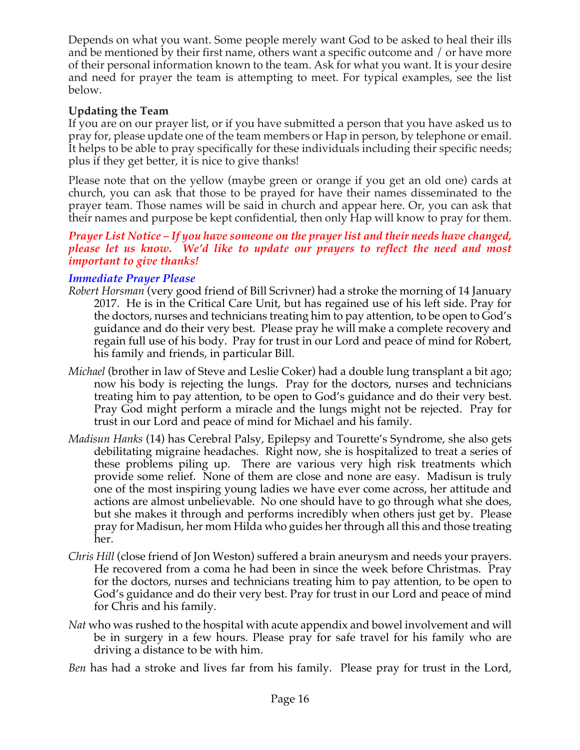Depends on what you want. Some people merely want God to be asked to heal their ills and be mentioned by their first name, others want a specific outcome and / or have more of their personal information known to the team. Ask for what you want. It is your desire and need for prayer the team is attempting to meet. For typical examples, see the list below.

## **Updating the Team**

If you are on our prayer list, or if you have submitted a person that you have asked us to pray for, please update one of the team members or Hap in person, by telephone or email. It helps to be able to pray specifically for these individuals including their specific needs; plus if they get better, it is nice to give thanks!

Please note that on the yellow (maybe green or orange if you get an old one) cards at church, you can ask that those to be prayed for have their names disseminated to the prayer team. Those names will be said in church and appear here. Or, you can ask that their names and purpose be kept confidential, then only Hap will know to pray for them.

#### *Prayer List Notice – If you have someone on the prayer list and their needs have changed, please let us know. We'd like to update our prayers to reflect the need and most important to give thanks!*

## *Immediate Prayer Please*

- *Robert Horsman* (very good friend of Bill Scrivner) had a stroke the morning of 14 January 2017. He is in the Critical Care Unit, but has regained use of his left side. Pray for the doctors, nurses and technicians treating him to pay attention, to be open to God's guidance and do their very best. Please pray he will make a complete recovery and regain full use of his body. Pray for trust in our Lord and peace of mind for Robert, his family and friends, in particular Bill.
- *Michael* (brother in law of Steve and Leslie Coker) had a double lung transplant a bit ago; now his body is rejecting the lungs. Pray for the doctors, nurses and technicians treating him to pay attention, to be open to God's guidance and do their very best. Pray God might perform a miracle and the lungs might not be rejected. Pray for trust in our Lord and peace of mind for Michael and his family.
- *Madisun Hanks* (14) has Cerebral Palsy, Epilepsy and Tourette's Syndrome, she also gets debilitating migraine headaches. Right now, she is hospitalized to treat a series of these problems piling up. There are various very high risk treatments which provide some relief. None of them are close and none are easy. Madisun is truly one of the most inspiring young ladies we have ever come across, her attitude and actions are almost unbelievable. No one should have to go through what she does, but she makes it through and performs incredibly when others just get by. Please pray for Madisun, her mom Hilda who guides her through all this and those treating her.
- *Chris Hill* (close friend of Jon Weston) suffered a brain aneurysm and needs your prayers. He recovered from a coma he had been in since the week before Christmas. Pray for the doctors, nurses and technicians treating him to pay attention, to be open to God's guidance and do their very best. Pray for trust in our Lord and peace of mind for Chris and his family.
- *Nat* who was rushed to the hospital with acute appendix and bowel involvement and will be in surgery in a few hours. Please pray for safe travel for his family who are driving a distance to be with him.
- *Ben* has had a stroke and lives far from his family. Please pray for trust in the Lord,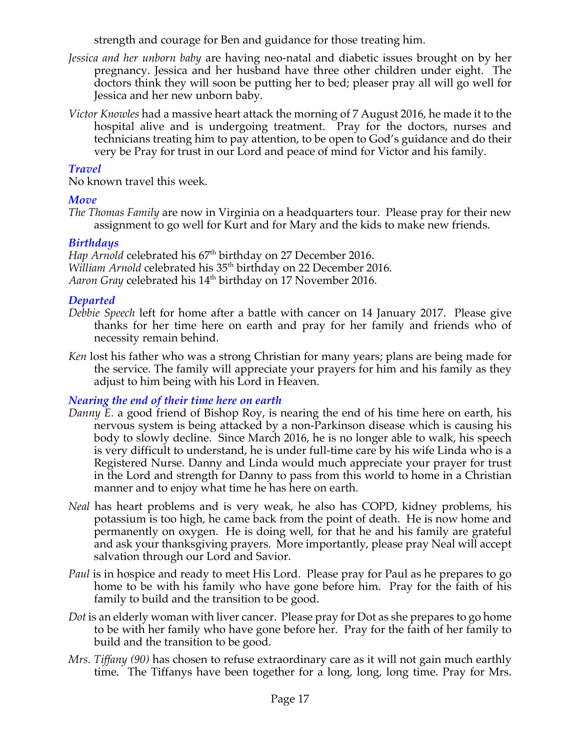strength and courage for Ben and guidance for those treating him.

- *Jessica and her unborn baby* are having neo-natal and diabetic issues brought on by her pregnancy. Jessica and her husband have three other children under eight. The doctors think they will soon be putting her to bed; pleaser pray all will go well for Jessica and her new unborn baby.
- *Victor Knowles* had a massive heart attack the morning of 7 August 2016, he made it to the hospital alive and is undergoing treatment. Pray for the doctors, nurses and technicians treating him to pay attention, to be open to God's guidance and do their very be Pray for trust in our Lord and peace of mind for Victor and his family.

## *Travel*

No known travel this week.

## *Move*

*The Thomas Family* are now in Virginia on a headquarters tour. Please pray for their new assignment to go well for Kurt and for Mary and the kids to make new friends.

## *Birthdays*

*Hap Arnold* celebrated his 67<sup>th</sup> birthday on 27 December 2016. *William Arnold* celebrated his 35<sup>th</sup> birthday on 22 December 2016. Aaron *Gray* celebrated his 14<sup>th</sup> birthday on 17 November 2016.

## *Departed*

- *Debbie Speech* left for home after a battle with cancer on 14 January 2017. Please give thanks for her time here on earth and pray for her family and friends who of necessity remain behind.
- *Ken* lost his father who was a strong Christian for many years; plans are being made for the service. The family will appreciate your prayers for him and his family as they adjust to him being with his Lord in Heaven.

## *Nearing the end of their time here on earth*

- *Danny E.* a good friend of Bishop Roy, is nearing the end of his time here on earth, his nervous system is being attacked by a non-Parkinson disease which is causing his body to slowly decline. Since March 2016, he is no longer able to walk, his speech is very difficult to understand, he is under full-time care by his wife Linda who is a Registered Nurse. Danny and Linda would much appreciate your prayer for trust in the Lord and strength for Danny to pass from this world to home in a Christian manner and to enjoy what time he has here on earth.
- *Neal* has heart problems and is very weak, he also has COPD, kidney problems, his potassium is too high, he came back from the point of death. He is now home and permanently on oxygen. He is doing well, for that he and his family are grateful and ask your thanksgiving prayers. More importantly, please pray Neal will accept salvation through our Lord and Savior.
- *Paul* is in hospice and ready to meet His Lord. Please pray for Paul as he prepares to go home to be with his family who have gone before him. Pray for the faith of his family to build and the transition to be good.
- *Dot* is an elderly woman with liver cancer. Please pray for Dot as she prepares to go home to be with her family who have gone before her. Pray for the faith of her family to build and the transition to be good.
- *Mrs. Tiffany (90)* has chosen to refuse extraordinary care as it will not gain much earthly time. The Tiffanys have been together for a long, long, long time. Pray for Mrs.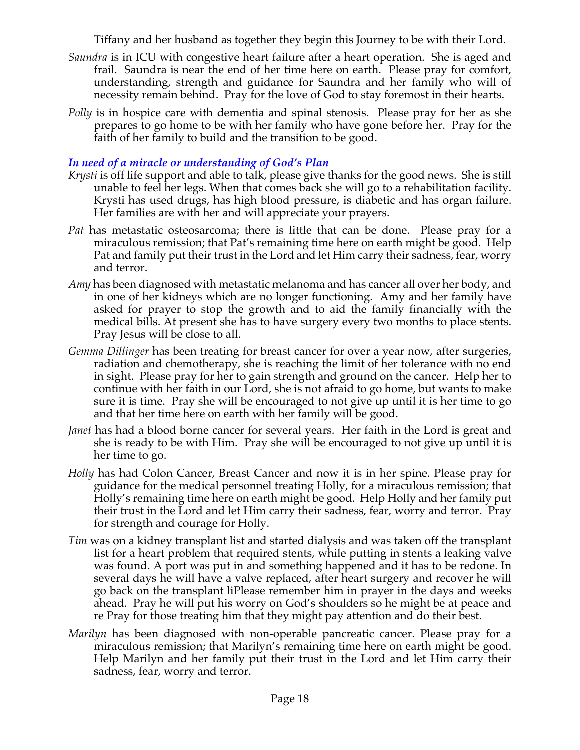Tiffany and her husband as together they begin this Journey to be with their Lord.

- *Saundra* is in ICU with congestive heart failure after a heart operation. She is aged and frail. Saundra is near the end of her time here on earth. Please pray for comfort, understanding, strength and guidance for Saundra and her family who will of necessity remain behind. Pray for the love of God to stay foremost in their hearts.
- *Polly* is in hospice care with dementia and spinal stenosis. Please pray for her as she prepares to go home to be with her family who have gone before her. Pray for the faith of her family to build and the transition to be good.

## *In need of a miracle or understanding of God's Plan*

- *Krysti* is off life support and able to talk, please give thanks for the good news. She is still unable to feel her legs. When that comes back she will go to a rehabilitation facility. Krysti has used drugs, has high blood pressure, is diabetic and has organ failure. Her families are with her and will appreciate your prayers.
- *Pat* has metastatic osteosarcoma; there is little that can be done. Please pray for a miraculous remission; that Pat's remaining time here on earth might be good. Help Pat and family put their trust in the Lord and let Him carry their sadness, fear, worry and terror.
- *Amy* has been diagnosed with metastatic melanoma and has cancer all over her body, and in one of her kidneys which are no longer functioning. Amy and her family have asked for prayer to stop the growth and to aid the family financially with the medical bills. At present she has to have surgery every two months to place stents. Pray Jesus will be close to all.
- *Gemma Dillinger* has been treating for breast cancer for over a year now, after surgeries, radiation and chemotherapy, she is reaching the limit of her tolerance with no end in sight. Please pray for her to gain strength and ground on the cancer. Help her to continue with her faith in our Lord, she is not afraid to go home, but wants to make sure it is time. Pray she will be encouraged to not give up until it is her time to go and that her time here on earth with her family will be good.
- *Janet* has had a blood borne cancer for several years. Her faith in the Lord is great and she is ready to be with Him. Pray she will be encouraged to not give up until it is her time to go.
- *Holly* has had Colon Cancer, Breast Cancer and now it is in her spine. Please pray for guidance for the medical personnel treating Holly, for a miraculous remission; that Holly's remaining time here on earth might be good. Help Holly and her family put their trust in the Lord and let Him carry their sadness, fear, worry and terror. Pray for strength and courage for Holly.
- *Tim* was on a kidney transplant list and started dialysis and was taken off the transplant list for a heart problem that required stents, while putting in stents a leaking valve was found. A port was put in and something happened and it has to be redone. In several days he will have a valve replaced, after heart surgery and recover he will go back on the transplant liPlease remember him in prayer in the days and weeks ahead. Pray he will put his worry on God's shoulders so he might be at peace and re Pray for those treating him that they might pay attention and do their best.
- *Marilyn* has been diagnosed with non-operable pancreatic cancer. Please pray for a miraculous remission; that Marilyn's remaining time here on earth might be good. Help Marilyn and her family put their trust in the Lord and let Him carry their sadness, fear, worry and terror.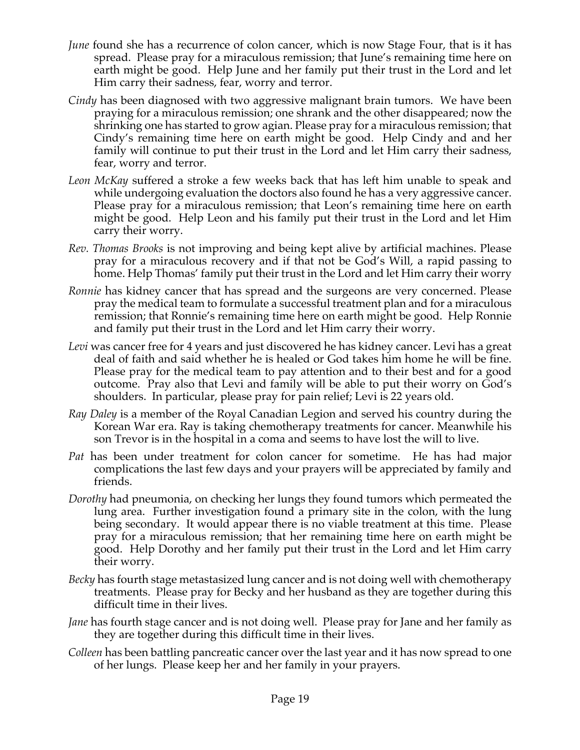- *June* found she has a recurrence of colon cancer, which is now Stage Four, that is it has spread. Please pray for a miraculous remission; that June's remaining time here on earth might be good. Help June and her family put their trust in the Lord and let Him carry their sadness, fear, worry and terror.
- *Cindy* has been diagnosed with two aggressive malignant brain tumors. We have been praying for a miraculous remission; one shrank and the other disappeared; now the shrinking one has started to grow agian. Please pray for a miraculous remission; that Cindy's remaining time here on earth might be good. Help Cindy and and her family will continue to put their trust in the Lord and let Him carry their sadness, fear, worry and terror.
- *Leon McKay* suffered a stroke a few weeks back that has left him unable to speak and while undergoing evaluation the doctors also found he has a very aggressive cancer. Please pray for a miraculous remission; that Leon's remaining time here on earth might be good. Help Leon and his family put their trust in the Lord and let Him carry their worry.
- *Rev. Thomas Brooks* is not improving and being kept alive by artificial machines. Please pray for a miraculous recovery and if that not be God's Will, a rapid passing to home. Help Thomas' family put their trust in the Lord and let Him carry their worry
- *Ronnie* has kidney cancer that has spread and the surgeons are very concerned. Please pray the medical team to formulate a successful treatment plan and for a miraculous remission; that Ronnie's remaining time here on earth might be good. Help Ronnie and family put their trust in the Lord and let Him carry their worry.
- *Levi* was cancer free for 4 years and just discovered he has kidney cancer. Levi has a great deal of faith and said whether he is healed or God takes him home he will be fine. Please pray for the medical team to pay attention and to their best and for a good outcome. Pray also that Levi and family will be able to put their worry on God's shoulders. In particular, please pray for pain relief; Levi is 22 years old.
- *Ray Daley* is a member of the Royal Canadian Legion and served his country during the Korean War era. Ray is taking chemotherapy treatments for cancer. Meanwhile his son Trevor is in the hospital in a coma and seems to have lost the will to live.
- *Pat* has been under treatment for colon cancer for sometime. He has had major complications the last few days and your prayers will be appreciated by family and friends.
- *Dorothy* had pneumonia, on checking her lungs they found tumors which permeated the lung area. Further investigation found a primary site in the colon, with the lung being secondary. It would appear there is no viable treatment at this time. Please pray for a miraculous remission; that her remaining time here on earth might be good. Help Dorothy and her family put their trust in the Lord and let Him carry their worry.
- *Becky* has fourth stage metastasized lung cancer and is not doing well with chemotherapy treatments. Please pray for Becky and her husband as they are together during this difficult time in their lives.
- *Jane* has fourth stage cancer and is not doing well. Please pray for Jane and her family as they are together during this difficult time in their lives.
- *Colleen* has been battling pancreatic cancer over the last year and it has now spread to one of her lungs. Please keep her and her family in your prayers.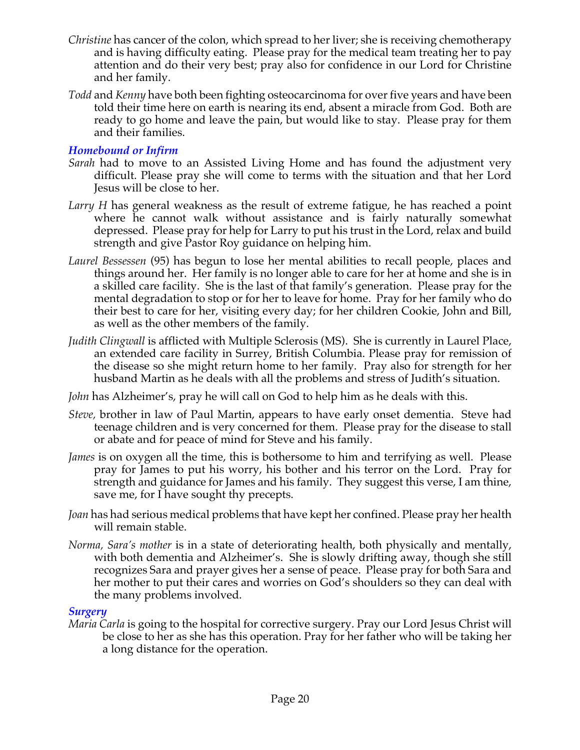- *Christine* has cancer of the colon, which spread to her liver; she is receiving chemotherapy and is having difficulty eating. Please pray for the medical team treating her to pay attention and do their very best; pray also for confidence in our Lord for Christine and her family.
- *Todd* and *Kenny* have both been fighting osteocarcinoma for overfive years and have been told their time here on earth is nearing its end, absent a miracle from God. Both are ready to go home and leave the pain, but would like to stay. Please pray for them and their families.

#### *Homebound or Infirm*

- *Sarah* had to move to an Assisted Living Home and has found the adjustment very difficult. Please pray she will come to terms with the situation and that her Lord Jesus will be close to her.
- *Larry H* has general weakness as the result of extreme fatigue, he has reached a point where he cannot walk without assistance and is fairly naturally somewhat depressed. Please pray for help for Larry to put his trust in the Lord, relax and build strength and give Pastor Roy guidance on helping him.
- *Laurel Bessessen* (95) has begun to lose her mental abilities to recall people, places and things around her. Her family is no longer able to care for her at home and she is in a skilled care facility. She is the last of that family's generation. Please pray for the mental degradation to stop or for her to leave for home. Pray for her family who do their best to care for her, visiting every day; for her children Cookie, John and Bill, as well as the other members of the family.
- *Judith Clingwall* is afflicted with Multiple Sclerosis (MS). She is currently in Laurel Place, an extended care facility in Surrey, British Columbia. Please pray for remission of the disease so she might return home to her family. Pray also for strength for her husband Martin as he deals with all the problems and stress of Judith's situation.
- *John* has Alzheimer's, pray he will call on God to help him as he deals with this.
- *Steve,* brother in law of Paul Martin, appears to have early onset dementia. Steve had teenage children and is very concerned for them. Please pray for the disease to stall or abate and for peace of mind for Steve and his family.
- *James* is on oxygen all the time, this is bothersome to him and terrifying as well. Please pray for James to put his worry, his bother and his terror on the Lord. Pray for strength and guidance for James and his family. They suggest this verse, I am thine, save me, for I have sought thy precepts.
- *Joan* has had serious medical problems that have kept her confined. Please pray her health will remain stable.
- *Norma, Sara's mother* is in a state of deteriorating health, both physically and mentally, with both dementia and Alzheimer's. She is slowly drifting away, though she still recognizes Sara and prayer gives her a sense of peace. Please pray for both Sara and her mother to put their cares and worries on God's shoulders so they can deal with the many problems involved.

#### *Surgery*

*Maria Carla* is going to the hospital for corrective surgery. Pray our Lord Jesus Christ will be close to her as she has this operation. Pray for her father who will be taking her a long distance for the operation.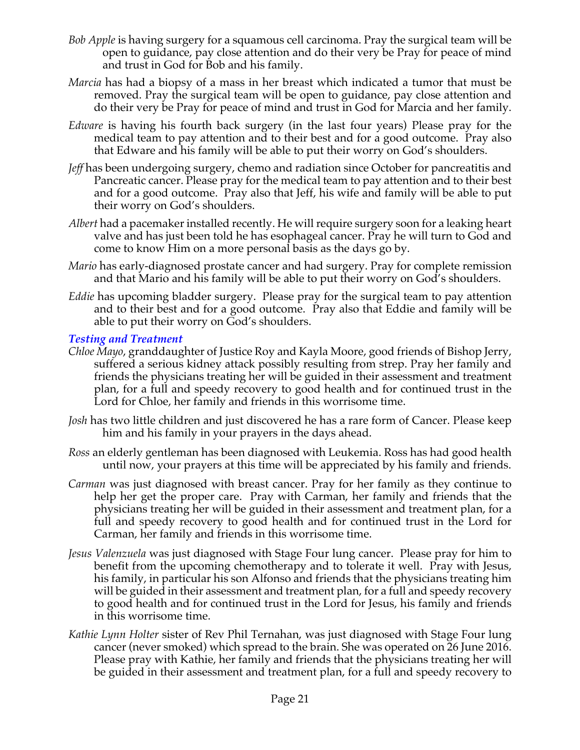- *Bob Apple* is having surgery for a squamous cell carcinoma. Pray the surgical team will be open to guidance, pay close attention and do their very be Pray for peace of mind and trust in God for Bob and his family.
- *Marcia* has had a biopsy of a mass in her breast which indicated a tumor that must be removed. Pray the surgical team will be open to guidance, pay close attention and do their very be Pray for peace of mind and trust in God for Marcia and her family.
- *Edware* is having his fourth back surgery (in the last four years) Please pray for the medical team to pay attention and to their best and for a good outcome. Pray also that Edware and his family will be able to put their worry on God's shoulders.
- *Jeff* has been undergoing surgery, chemo and radiation since October for pancreatitis and Pancreatic cancer. Please pray for the medical team to pay attention and to their best and for a good outcome. Pray also that Jeff, his wife and family will be able to put their worry on God's shoulders.
- *Albert* had a pacemaker installed recently. He will require surgery soon for a leaking heart valve and has just been told he has esophageal cancer. Pray he will turn to God and come to know Him on a more personal basis as the days go by.
- *Mario* has early-diagnosed prostate cancer and had surgery. Pray for complete remission and that Mario and his family will be able to put their worry on God's shoulders.
- *Eddie* has upcoming bladder surgery. Please pray for the surgical team to pay attention and to their best and for a good outcome. Pray also that Eddie and family will be able to put their worry on God's shoulders.

#### *Testing and Treatment*

- *Chloe Mayo*, granddaughter of Justice Roy and Kayla Moore, good friends of Bishop Jerry, suffered a serious kidney attack possibly resulting from strep. Pray her family and friends the physicians treating her will be guided in their assessment and treatment plan, for a full and speedy recovery to good health and for continued trust in the Lord for Chloe, her family and friends in this worrisome time.
- *Josh* has two little children and just discovered he has a rare form of Cancer. Please keep him and his family in your prayers in the days ahead.
- *Ross* an elderly gentleman has been diagnosed with Leukemia. Ross has had good health until now, your prayers at this time will be appreciated by his family and friends.
- *Carman* was just diagnosed with breast cancer. Pray for her family as they continue to help her get the proper care. Pray with Carman, her family and friends that the physicians treating her will be guided in their assessment and treatment plan, for a full and speedy recovery to good health and for continued trust in the Lord for Carman, her family and friends in this worrisome time.
- *Jesus Valenzuela* was just diagnosed with Stage Four lung cancer. Please pray for him to benefit from the upcoming chemotherapy and to tolerate it well. Pray with Jesus, his family, in particular his son Alfonso and friends that the physicians treating him will be guided in their assessment and treatment plan, for a full and speedy recovery to good health and for continued trust in the Lord for Jesus, his family and friends in this worrisome time.
- *Kathie Lynn Holter* sister of Rev Phil Ternahan, was just diagnosed with Stage Four lung cancer (never smoked) which spread to the brain. She was operated on 26 June 2016. Please pray with Kathie, her family and friends that the physicians treating her will be guided in their assessment and treatment plan, for a full and speedy recovery to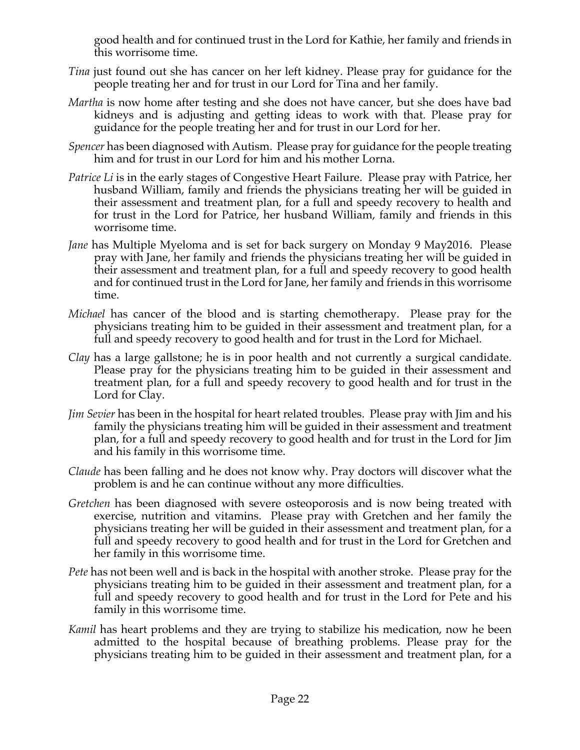good health and for continued trust in the Lord for Kathie, her family and friends in this worrisome time.

- *Tina* just found out she has cancer on her left kidney. Please pray for guidance for the people treating her and for trust in our Lord for Tina and her family.
- *Martha* is now home after testing and she does not have cancer, but she does have bad kidneys and is adjusting and getting ideas to work with that. Please pray for guidance for the people treating her and for trust in our Lord for her.
- *Spencer* has been diagnosed with Autism. Please pray for guidance for the people treating him and for trust in our Lord for him and his mother Lorna.
- *Patrice Li* is in the early stages of Congestive Heart Failure. Please pray with Patrice, her husband William, family and friends the physicians treating her will be guided in their assessment and treatment plan, for a full and speedy recovery to health and for trust in the Lord for Patrice, her husband William, family and friends in this worrisome time.
- *Jane* has Multiple Myeloma and is set for back surgery on Monday 9 May2016. Please pray with Jane, her family and friends the physicians treating her will be guided in their assessment and treatment plan, for a full and speedy recovery to good health and for continued trust in the Lord for Jane, her family and friends in this worrisome time.
- *Michael* has cancer of the blood and is starting chemotherapy. Please pray for the physicians treating him to be guided in their assessment and treatment plan, for a full and speedy recovery to good health and for trust in the Lord for Michael.
- *Clay* has a large gallstone; he is in poor health and not currently a surgical candidate. Please pray for the physicians treating him to be guided in their assessment and treatment plan, for a full and speedy recovery to good health and for trust in the Lord for Clay.
- *Jim Sevier* has been in the hospital for heart related troubles. Please pray with Jim and his family the physicians treating him will be guided in their assessment and treatment plan, for a full and speedy recovery to good health and for trust in the Lord for Jim and his family in this worrisome time.
- *Claude* has been falling and he does not know why. Pray doctors will discover what the problem is and he can continue without any more difficulties.
- *Gretchen* has been diagnosed with severe osteoporosis and is now being treated with exercise, nutrition and vitamins. Please pray with Gretchen and her family the physicians treating her will be guided in their assessment and treatment plan, for a full and speedy recovery to good health and for trust in the Lord for Gretchen and her family in this worrisome time.
- *Pete* has not been well and is back in the hospital with another stroke. Please pray for the physicians treating him to be guided in their assessment and treatment plan, for a full and speedy recovery to good health and for trust in the Lord for Pete and his family in this worrisome time.
- *Kamil* has heart problems and they are trying to stabilize his medication, now he been admitted to the hospital because of breathing problems. Please pray for the physicians treating him to be guided in their assessment and treatment plan, for a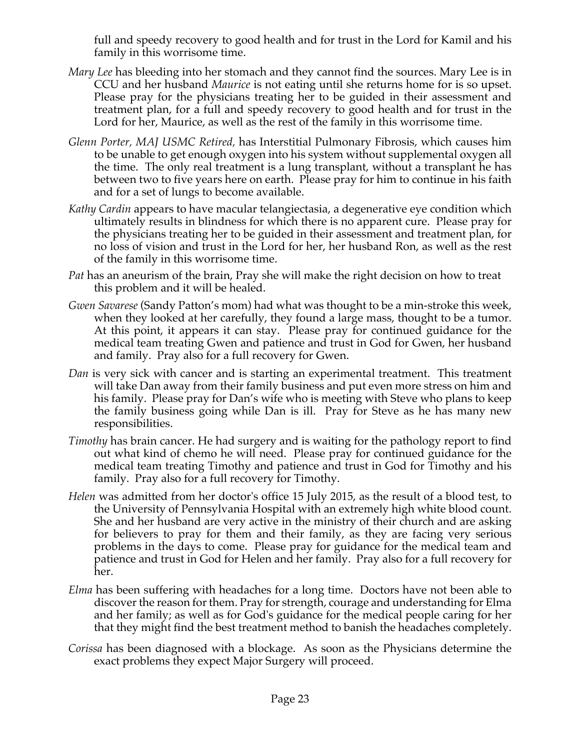full and speedy recovery to good health and for trust in the Lord for Kamil and his family in this worrisome time.

- *Mary Lee* has bleeding into her stomach and they cannot find the sources. Mary Lee is in CCU and her husband *Maurice* is not eating until she returns home for is so upset. Please pray for the physicians treating her to be guided in their assessment and treatment plan, for a full and speedy recovery to good health and for trust in the Lord for her, Maurice, as well as the rest of the family in this worrisome time.
- *Glenn Porter, MAJ USMC Retired,* has Interstitial Pulmonary Fibrosis, which causes him to be unable to get enough oxygen into his system without supplemental oxygen all the time. The only real treatment is a lung transplant, without a transplant he has between two to five years here on earth. Please pray for him to continue in his faith and for a set of lungs to become available.
- *Kathy Cardin* appears to have macular telangiectasia, a degenerative eye condition which ultimately results in blindness for which there is no apparent cure. Please pray for the physicians treating her to be guided in their assessment and treatment plan, for no loss of vision and trust in the Lord for her, her husband Ron, as well as the rest of the family in this worrisome time.
- *Pat* has an aneurism of the brain, Pray she will make the right decision on how to treat this problem and it will be healed.
- *Gwen Savarese* (Sandy Patton's mom) had what was thought to be a min-stroke this week, when they looked at her carefully, they found a large mass, thought to be a tumor. At this point, it appears it can stay. Please pray for continued guidance for the medical team treating Gwen and patience and trust in God for Gwen, her husband and family. Pray also for a full recovery for Gwen.
- *Dan* is very sick with cancer and is starting an experimental treatment. This treatment will take Dan away from their family business and put even more stress on him and his family. Please pray for Dan's wife who is meeting with Steve who plans to keep the family business going while Dan is ill. Pray for Steve as he has many new responsibilities.
- *Timothy* has brain cancer. He had surgery and is waiting for the pathology report to find out what kind of chemo he will need. Please pray for continued guidance for the medical team treating Timothy and patience and trust in God for Timothy and his family. Pray also for a full recovery for Timothy.
- *Helen* was admitted from her doctor's office 15 July 2015, as the result of a blood test, to the University of Pennsylvania Hospital with an extremely high white blood count. She and her husband are very active in the ministry of their church and are asking for believers to pray for them and their family, as they are facing very serious problems in the days to come. Please pray for guidance for the medical team and patience and trust in God for Helen and her family. Pray also for a full recovery for her.
- *Elma* has been suffering with headaches for a long time. Doctors have not been able to discover the reason for them. Pray for strength, courage and understanding for Elma and her family; as well as for God's guidance for the medical people caring for her that they might find the best treatment method to banish the headaches completely.
- *Corissa* has been diagnosed with a blockage. As soon as the Physicians determine the exact problems they expect Major Surgery will proceed.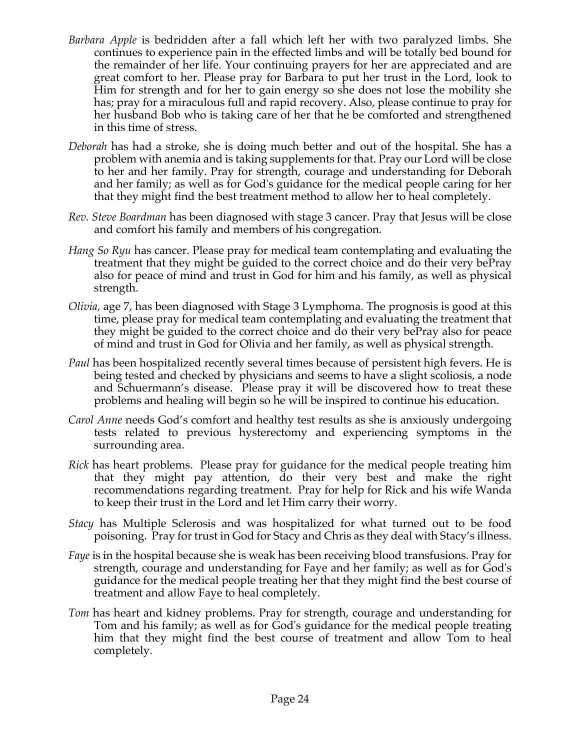- *Barbara Apple* is bedridden after a fall which left her with two paralyzed limbs. She continues to experience pain in the effected limbs and will be totally bed bound for the remainder of her life. Your continuing prayers for her are appreciated and are great comfort to her. Please pray for Barbara to put her trust in the Lord, look to Him for strength and for her to gain energy so she does not lose the mobility she has; pray for a miraculous full and rapid recovery. Also, please continue to pray for her husband Bob who is taking care of her that he be comforted and strengthened in this time of stress.
- *Deborah* has had a stroke, she is doing much better and out of the hospital. She has a problem with anemia and is taking supplements for that. Pray our Lord will be close to her and her family. Pray for strength, courage and understanding for Deborah and her family; as well as for God's guidance for the medical people caring for her that they might find the best treatment method to allow her to heal completely.
- *Rev. Steve Boardman* has been diagnosed with stage 3 cancer. Pray that Jesus will be close and comfort his family and members of his congregation*.*
- *Hang So Ryu* has cancer. Please pray for medical team contemplating and evaluating the treatment that they might be guided to the correct choice and do their very bePray also for peace of mind and trust in God for him and his family, as well as physical strength.
- *Olivia,* age 7, has been diagnosed with Stage 3 Lymphoma. The prognosis is good at this time, please pray for medical team contemplating and evaluating the treatment that they might be guided to the correct choice and do their very bePray also for peace of mind and trust in God for Olivia and her family, as well as physical strength.
- *Paul* has been hospitalized recently several times because of persistent high fevers. He is being tested and checked by physicians and seems to have a slight scoliosis, a node and Schuermann's disease. Please pray it will be discovered how to treat these problems and healing will begin so he will be inspired to continue his education.
- *Carol Anne* needs God's comfort and healthy test results as she is anxiously undergoing tests related to previous hysterectomy and experiencing symptoms in the surrounding area.
- *Rick* has heart problems. Please pray for guidance for the medical people treating him that they might pay attention, do their very best and make the right recommendations regarding treatment. Pray for help for Rick and his wife Wanda to keep their trust in the Lord and let Him carry their worry.
- *Stacy* has Multiple Sclerosis and was hospitalized for what turned out to be food poisoning. Pray for trust in God for Stacy and Chris as they deal with Stacy's illness.
- *Faye* is in the hospital because she is weak has been receiving blood transfusions. Pray for strength, courage and understanding for Faye and her family; as well as for God's guidance for the medical people treating her that they might find the best course of treatment and allow Faye to heal completely.
- *Tom* has heart and kidney problems. Pray for strength, courage and understanding for Tom and his family; as well as for God's guidance for the medical people treating him that they might find the best course of treatment and allow Tom to heal completely.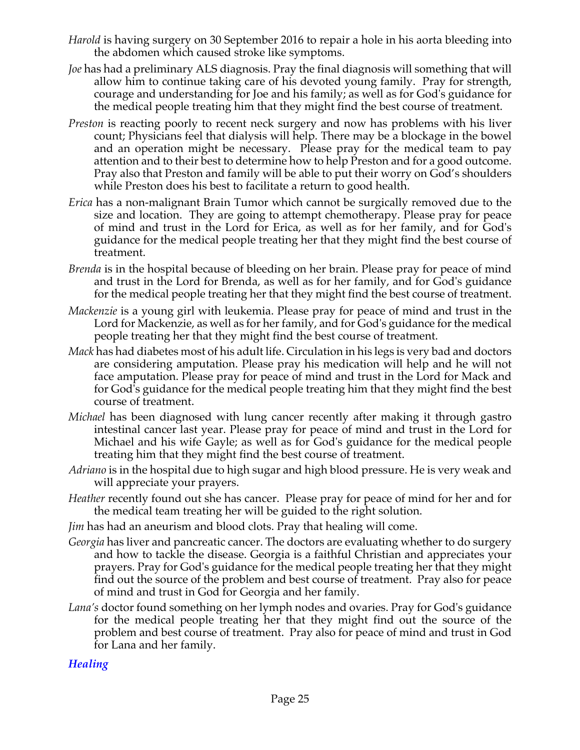- *Harold* is having surgery on 30 September 2016 to repair a hole in his aorta bleeding into the abdomen which caused stroke like symptoms.
- *Joe* has had a preliminary ALS diagnosis. Pray the final diagnosis will something that will allow him to continue taking care of his devoted young family. Pray for strength, courage and understanding for Joe and his family; as well as for God's guidance for the medical people treating him that they might find the best course of treatment.
- *Preston* is reacting poorly to recent neck surgery and now has problems with his liver count; Physicians feel that dialysis will help. There may be a blockage in the bowel and an operation might be necessary. Please pray for the medical team to pay attention and to their best to determine how to help Preston and for a good outcome. Pray also that Preston and family will be able to put their worry on God's shoulders while Preston does his best to facilitate a return to good health.
- *Erica* has a non-malignant Brain Tumor which cannot be surgically removed due to the size and location. They are going to attempt chemotherapy. Please pray for peace of mind and trust in the Lord for Erica, as well as for her family, and for God's guidance for the medical people treating her that they might find the best course of treatment.
- *Brenda* is in the hospital because of bleeding on her brain. Please pray for peace of mind and trust in the Lord for Brenda, as well as for her family, and for God's guidance for the medical people treating her that they might find the best course of treatment.
- *Mackenzie* is a young girl with leukemia. Please pray for peace of mind and trust in the Lord for Mackenzie, as well as for her family, and for God's guidance for the medical people treating her that they might find the best course of treatment.
- *Mack* has had diabetes most of his adult life. Circulation in his legs is very bad and doctors are considering amputation. Please pray his medication will help and he will not face amputation. Please pray for peace of mind and trust in the Lord for Mack and for God's guidance for the medical people treating him that they might find the best course of treatment.
- *Michael* has been diagnosed with lung cancer recently after making it through gastro intestinal cancer last year. Please pray for peace of mind and trust in the Lord for Michael and his wife Gayle; as well as for God's guidance for the medical people treating him that they might find the best course of treatment.
- *Adriano* is in the hospital due to high sugar and high blood pressure. He is very weak and will appreciate your prayers.
- *Heather* recently found out she has cancer. Please pray for peace of mind for her and for the medical team treating her will be guided to the right solution.
- *Jim* has had an aneurism and blood clots. Pray that healing will come.
- *Georgia* has liver and pancreatic cancer. The doctors are evaluating whether to do surgery and how to tackle the disease. Georgia is a faithful Christian and appreciates your prayers. Pray for God's guidance for the medical people treating her that they might find out the source of the problem and best course of treatment. Pray also for peace of mind and trust in God for Georgia and her family.
- *Lana's* doctor found something on her lymph nodes and ovaries. Pray for God's guidance for the medical people treating her that they might find out the source of the problem and best course of treatment. Pray also for peace of mind and trust in God for Lana and her family.

## *Healing*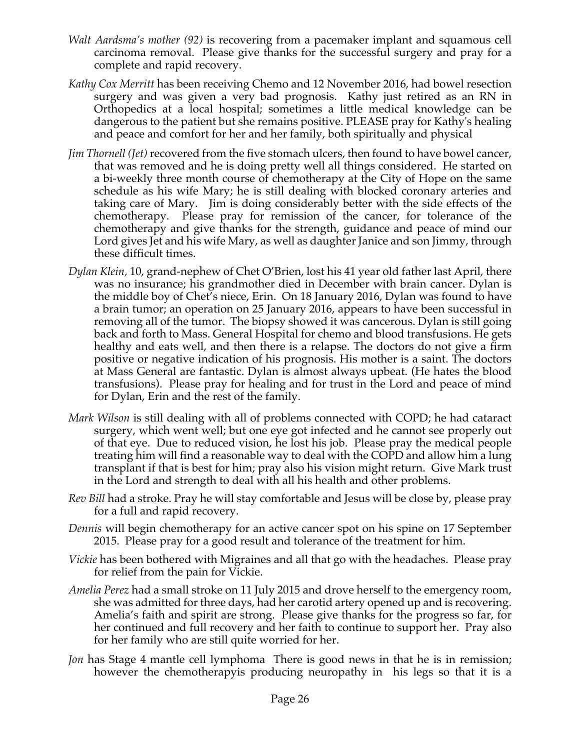- *Walt Aardsma's mother (92)* is recovering from a pacemaker implant and squamous cell carcinoma removal. Please give thanks for the successful surgery and pray for a complete and rapid recovery.
- *Kathy Cox Merritt* has been receiving Chemo and 12 November 2016, had bowel resection surgery and was given a very bad prognosis. Kathy just retired as an RN in Orthopedics at a local hospital; sometimes a little medical knowledge can be dangerous to the patient but she remains positive. PLEASE pray for Kathy's healing and peace and comfort for her and her family, both spiritually and physical
- *Jim Thornell (Jet)* recovered from the five stomach ulcers, then found to have bowel cancer, that was removed and he is doing pretty well all things considered. He started on a bi-weekly three month course of chemotherapy at the City of Hope on the same schedule as his wife Mary; he is still dealing with blocked coronary arteries and taking care of Mary. Jim is doing considerably better with the side effects of the chemotherapy. Please pray for remission of the cancer, for tolerance of the chemotherapy and give thanks for the strength, guidance and peace of mind our Lord gives Jet and his wife Mary, as well as daughter Janice and son Jimmy, through these difficult times.
- *Dylan Klein,* 10, grand-nephew of Chet O'Brien, lost his 41 year old father last April, there was no insurance; his grandmother died in December with brain cancer. Dylan is the middle boy of Chet's niece, Erin. On 18 January 2016, Dylan was found to have a brain tumor; an operation on 25 January 2016, appears to have been successful in removing all of the tumor. The biopsy showed it was cancerous. Dylan is still going back and forth to Mass. General Hospital for chemo and blood transfusions. He gets healthy and eats well, and then there is a relapse. The doctors do not give a firm positive or negative indication of his prognosis. His mother is a saint. The doctors at Mass General are fantastic. Dylan is almost always upbeat. (He hates the blood transfusions). Please pray for healing and for trust in the Lord and peace of mind for Dylan, Erin and the rest of the family.
- *Mark Wilson* is still dealing with all of problems connected with COPD; he had cataract surgery, which went well; but one eye got infected and he cannot see properly out of that eye. Due to reduced vision, he lost his job. Please pray the medical people treating him will find a reasonable way to deal with the COPD and allow him a lung transplant if that is best for him; pray also his vision might return. Give Mark trust in the Lord and strength to deal with all his health and other problems.
- *Rev Bill* had a stroke. Pray he will stay comfortable and Jesus will be close by, please pray for a full and rapid recovery.
- *Dennis* will begin chemotherapy for an active cancer spot on his spine on 17 September 2015. Please pray for a good result and tolerance of the treatment for him.
- *Vickie* has been bothered with Migraines and all that go with the headaches. Please pray for relief from the pain for Vickie.
- *Amelia Perez* had a small stroke on 11 July 2015 and drove herself to the emergency room, she was admitted for three days, had her carotid artery opened up and is recovering. Amelia's faith and spirit are strong. Please give thanks for the progress so far, for her continued and full recovery and her faith to continue to support her. Pray also for her family who are still quite worried for her.
- *Jon* has Stage 4 mantle cell lymphoma There is good news in that he is in remission; however the chemotherapyis producing neuropathy in his legs so that it is a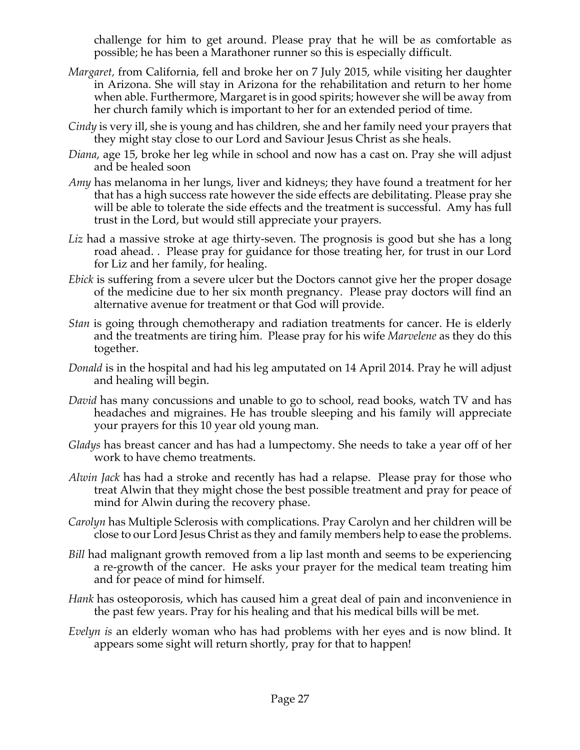challenge for him to get around. Please pray that he will be as comfortable as possible; he has been a Marathoner runner so this is especially difficult.

- *Margaret,* from California, fell and broke her on 7 July 2015, while visiting her daughter in Arizona. She will stay in Arizona for the rehabilitation and return to her home when able. Furthermore, Margaret is in good spirits; however she will be away from her church family which is important to her for an extended period of time.
- *Cindy* is very ill, she is young and has children, she and her family need your prayers that they might stay close to our Lord and Saviour Jesus Christ as she heals.
- *Diana*, age 15, broke her leg while in school and now has a cast on. Pray she will adjust and be healed soon
- *Amy* has melanoma in her lungs, liver and kidneys; they have found a treatment for her that has a high success rate however the side effects are debilitating. Please pray she will be able to tolerate the side effects and the treatment is successful. Amy has full trust in the Lord, but would still appreciate your prayers.
- Liz had a massive stroke at age thirty-seven. The prognosis is good but she has a long road ahead. . Please pray for guidance for those treating her, for trust in our Lord for Liz and her family, for healing.
- *Ebick* is suffering from a severe ulcer but the Doctors cannot give her the proper dosage of the medicine due to her six month pregnancy. Please pray doctors will find an alternative avenue for treatment or that God will provide.
- *Stan* is going through chemotherapy and radiation treatments for cancer. He is elderly and the treatments are tiring him. Please pray for his wife *Marvelene* as they do this together.
- *Donald* is in the hospital and had his leg amputated on 14 April 2014. Pray he will adjust and healing will begin.
- *David* has many concussions and unable to go to school, read books, watch TV and has headaches and migraines. He has trouble sleeping and his family will appreciate your prayers for this 10 year old young man.
- *Gladys* has breast cancer and has had a lumpectomy. She needs to take a year off of her work to have chemo treatments.
- *Alwin Jack* has had a stroke and recently has had a relapse. Please pray for those who treat Alwin that they might chose the best possible treatment and pray for peace of mind for Alwin during the recovery phase.
- *Carolyn* has Multiple Sclerosis with complications. Pray Carolyn and her children will be close to our Lord Jesus Christ as they and family members help to ease the problems.
- *Bill* had malignant growth removed from a lip last month and seems to be experiencing a re-growth of the cancer. He asks your prayer for the medical team treating him and for peace of mind for himself.
- *Hank* has osteoporosis, which has caused him a great deal of pain and inconvenience in the past few years. Pray for his healing and that his medical bills will be met.
- *Evelyn is* an elderly woman who has had problems with her eyes and is now blind. It appears some sight will return shortly, pray for that to happen!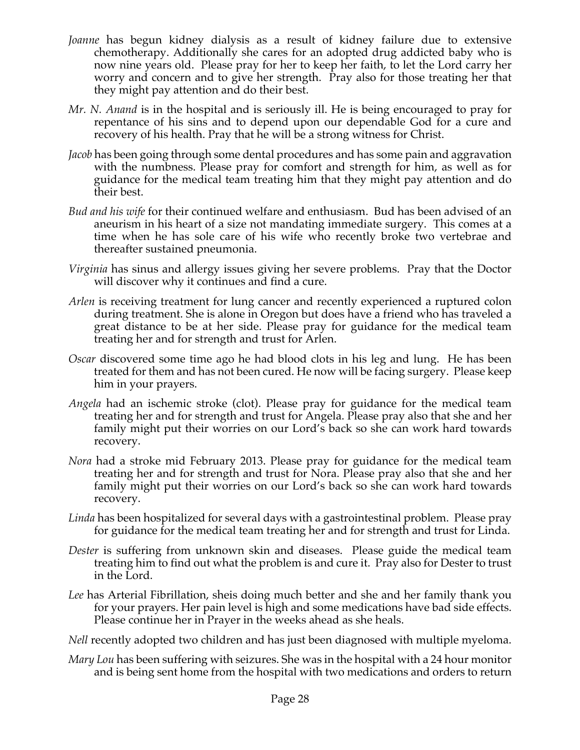- *Joanne* has begun kidney dialysis as a result of kidney failure due to extensive chemotherapy. Additionally she cares for an adopted drug addicted baby who is now nine years old. Please pray for her to keep her faith, to let the Lord carry her worry and concern and to give her strength. Pray also for those treating her that they might pay attention and do their best.
- *Mr. N. Anand* is in the hospital and is seriously ill. He is being encouraged to pray for repentance of his sins and to depend upon our dependable God for a cure and recovery of his health. Pray that he will be a strong witness for Christ.
- *Jacob* has been going through some dental procedures and has some pain and aggravation with the numbness. Please pray for comfort and strength for him, as well as for guidance for the medical team treating him that they might pay attention and do their best.
- *Bud and his wife* for their continued welfare and enthusiasm. Bud has been advised of an aneurism in his heart of a size not mandating immediate surgery. This comes at a time when he has sole care of his wife who recently broke two vertebrae and thereafter sustained pneumonia.
- *Virginia* has sinus and allergy issues giving her severe problems. Pray that the Doctor will discover why it continues and find a cure.
- *Arlen* is receiving treatment for lung cancer and recently experienced a ruptured colon during treatment. She is alone in Oregon but does have a friend who has traveled a great distance to be at her side. Please pray for guidance for the medical team treating her and for strength and trust for Arlen.
- *Oscar* discovered some time ago he had blood clots in his leg and lung. He has been treated for them and has not been cured. He now will be facing surgery. Please keep him in your prayers.
- *Angela* had an ischemic stroke (clot). Please pray for guidance for the medical team treating her and for strength and trust for Angela. Please pray also that she and her family might put their worries on our Lord's back so she can work hard towards recovery.
- *Nora* had a stroke mid February 2013. Please pray for guidance for the medical team treating her and for strength and trust for Nora. Please pray also that she and her family might put their worries on our Lord's back so she can work hard towards recovery.
- *Linda* has been hospitalized for several days with a gastrointestinal problem. Please pray for guidance for the medical team treating her and for strength and trust for Linda.
- *Dester* is suffering from unknown skin and diseases. Please guide the medical team treating him to find out what the problem is and cure it. Pray also for Dester to trust in the Lord.
- *Lee* has Arterial Fibrillation, sheis doing much better and she and her family thank you for your prayers. Her pain level is high and some medications have bad side effects. Please continue her in Prayer in the weeks ahead as she heals.
- *Nell* recently adopted two children and has just been diagnosed with multiple myeloma.
- *Mary Lou* has been suffering with seizures. She was in the hospital with a 24 hour monitor and is being sent home from the hospital with two medications and orders to return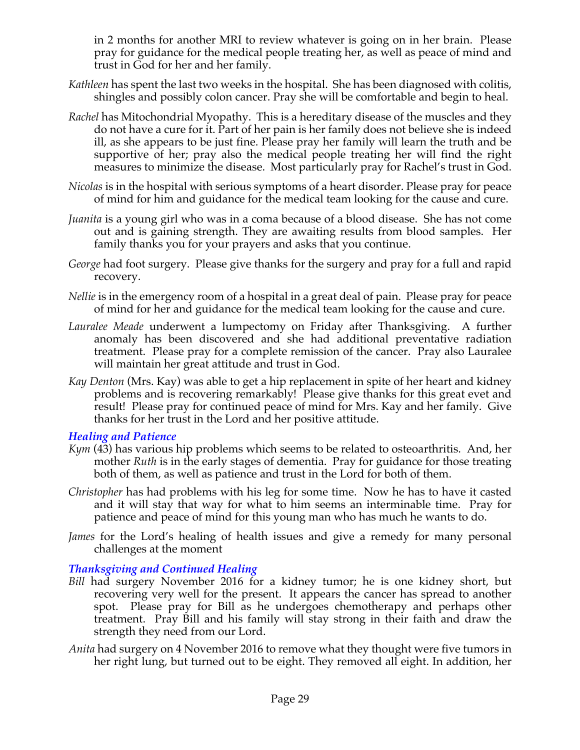in 2 months for another MRI to review whatever is going on in her brain. Please pray for guidance for the medical people treating her, as well as peace of mind and trust in God for her and her family.

- *Kathleen* has spent the last two weeks in the hospital. She has been diagnosed with colitis, shingles and possibly colon cancer. Pray she will be comfortable and begin to heal.
- *Rachel* has Mitochondrial Myopathy. This is a hereditary disease of the muscles and they do not have a cure for it. Part of her pain is her family does not believe she is indeed ill, as she appears to be just fine. Please pray her family will learn the truth and be supportive of her; pray also the medical people treating her will find the right measures to minimize the disease. Most particularly pray for Rachel's trust in God.
- *Nicolas* is in the hospital with serious symptoms of a heart disorder. Please pray for peace of mind for him and guidance for the medical team looking for the cause and cure.
- *Juanita* is a young girl who was in a coma because of a blood disease. She has not come out and is gaining strength. They are awaiting results from blood samples. Her family thanks you for your prayers and asks that you continue.
- *George* had foot surgery. Please give thanks for the surgery and pray for a full and rapid recovery.
- *Nellie* is in the emergency room of a hospital in a great deal of pain. Please pray for peace of mind for her and guidance for the medical team looking for the cause and cure.
- *Lauralee Meade* underwent a lumpectomy on Friday after Thanksgiving. A further anomaly has been discovered and she had additional preventative radiation treatment. Please pray for a complete remission of the cancer. Pray also Lauralee will maintain her great attitude and trust in God.
- *Kay Denton* (Mrs. Kay) was able to get a hip replacement in spite of her heart and kidney problems and is recovering remarkably! Please give thanks for this great evet and result! Please pray for continued peace of mind for Mrs. Kay and her family. Give thanks for her trust in the Lord and her positive attitude.

#### *Healing and Patience*

- *Kym* (43) has various hip problems which seems to be related to osteoarthritis. And, her mother *Ruth* is in the early stages of dementia. Pray for guidance for those treating both of them, as well as patience and trust in the Lord for both of them.
- *Christopher* has had problems with his leg for some time. Now he has to have it casted and it will stay that way for what to him seems an interminable time. Pray for patience and peace of mind for this young man who has much he wants to do.
- *James* for the Lord's healing of health issues and give a remedy for many personal challenges at the moment

## *Thanksgiving and Continued Healing*

- *Bill* had surgery November 2016 for a kidney tumor; he is one kidney short, but recovering very well for the present. It appears the cancer has spread to another spot. Please pray for Bill as he undergoes chemotherapy and perhaps other treatment. Pray Bill and his family will stay strong in their faith and draw the strength they need from our Lord.
- *Anita* had surgery on 4 November 2016 to remove what they thought were five tumors in her right lung, but turned out to be eight. They removed all eight. In addition, her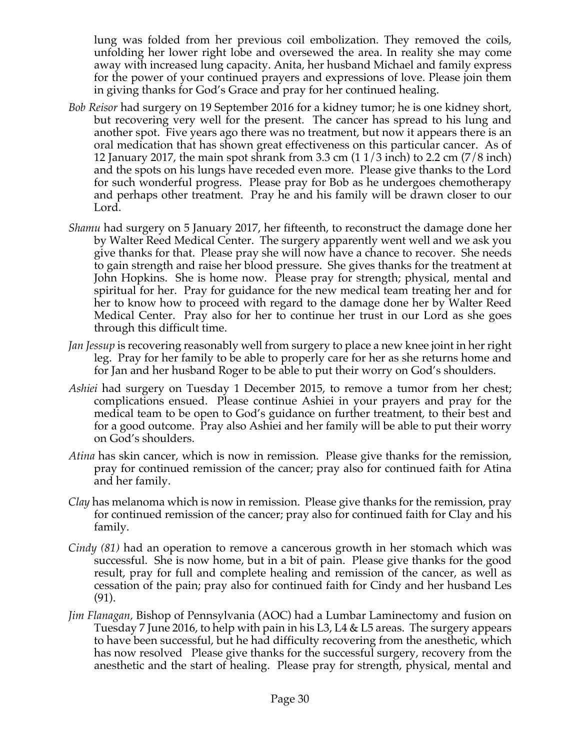lung was folded from her previous coil embolization. They removed the coils, unfolding her lower right lobe and oversewed the area. In reality she may come away with increased lung capacity. Anita, her husband Michael and family express for the power of your continued prayers and expressions of love. Please join them in giving thanks for God's Grace and pray for her continued healing.

- *Bob Reisor* had surgery on 19 September 2016 for a kidney tumor; he is one kidney short, but recovering very well for the present. The cancer has spread to his lung and another spot. Five years ago there was no treatment, but now it appears there is an oral medication that has shown great effectiveness on this particular cancer. As of 12 January 2017, the main spot shrank from 3.3 cm (1 1/3 inch) to 2.2 cm (7/8 inch) and the spots on his lungs have receded even more. Please give thanks to the Lord for such wonderful progress. Please pray for Bob as he undergoes chemotherapy and perhaps other treatment. Pray he and his family will be drawn closer to our Lord.
- *Shamu* had surgery on 5 January 2017, her fifteenth, to reconstruct the damage done her by Walter Reed Medical Center. The surgery apparently went well and we ask you give thanks for that. Please pray she will now have a chance to recover. She needs to gain strength and raise her blood pressure. She gives thanks for the treatment at John Hopkins. She is home now. Please pray for strength; physical, mental and spiritual for her. Pray for guidance for the new medical team treating her and for her to know how to proceed with regard to the damage done her by Walter Reed Medical Center. Pray also for her to continue her trust in our Lord as she goes through this difficult time.
- *Jan Jessup* is recovering reasonably well from surgery to place a new knee joint in her right leg. Pray for her family to be able to properly care for her as she returns home and for Jan and her husband Roger to be able to put their worry on God's shoulders.
- *Ashiei* had surgery on Tuesday 1 December 2015, to remove a tumor from her chest; complications ensued. Please continue Ashiei in your prayers and pray for the medical team to be open to God's guidance on further treatment, to their best and for a good outcome. Pray also Ashiei and her family will be able to put their worry on God's shoulders.
- *Atina* has skin cancer, which is now in remission. Please give thanks for the remission, pray for continued remission of the cancer; pray also for continued faith for Atina and her family.
- *Clay* has melanoma which is now in remission. Please give thanks for the remission, pray for continued remission of the cancer; pray also for continued faith for Clay and his family.
- *Cindy (81)* had an operation to remove a cancerous growth in her stomach which was successful. She is now home, but in a bit of pain. Please give thanks for the good result, pray for full and complete healing and remission of the cancer, as well as cessation of the pain; pray also for continued faith for Cindy and her husband Les (91).
- *Jim Flanagan,* Bishop of Pennsylvania (AOC) had a Lumbar Laminectomy and fusion on Tuesday 7 June 2016, to help with pain in his L3, L4 & L5 areas. The surgery appears to have been successful, but he had difficulty recovering from the anesthetic, which has now resolved Please give thanks for the successful surgery, recovery from the anesthetic and the start of healing. Please pray for strength, physical, mental and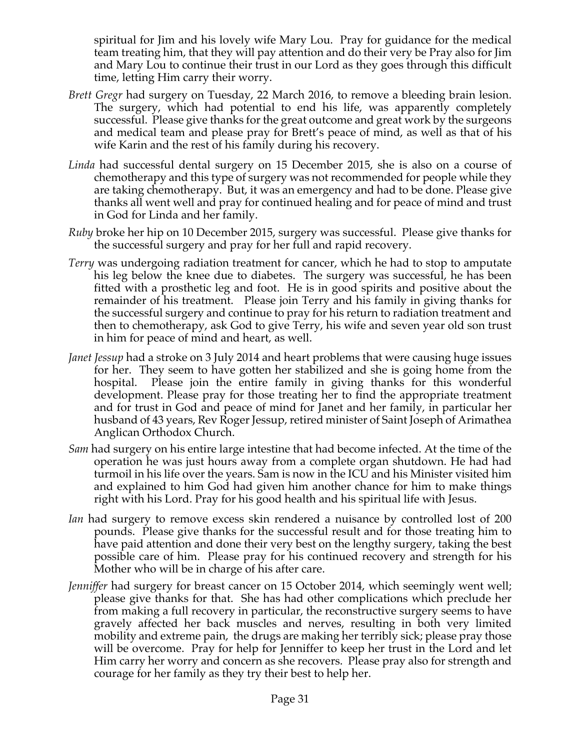spiritual for Jim and his lovely wife Mary Lou. Pray for guidance for the medical team treating him, that they will pay attention and do their very be Pray also for Jim and Mary Lou to continue their trust in our Lord as they goes through this difficult time, letting Him carry their worry.

- *Brett Gregr* had surgery on Tuesday, 22 March 2016, to remove a bleeding brain lesion. The surgery, which had potential to end his life, was apparently completely successful. Please give thanks for the great outcome and great work by the surgeons and medical team and please pray for Brett's peace of mind, as well as that of his wife Karin and the rest of his family during his recovery.
- *Linda* had successful dental surgery on 15 December 2015, she is also on a course of chemotherapy and this type of surgery was not recommended for people while they are taking chemotherapy. But, it was an emergency and had to be done. Please give thanks all went well and pray for continued healing and for peace of mind and trust in God for Linda and her family.
- *Ruby* broke her hip on 10 December 2015, surgery was successful. Please give thanks for the successful surgery and pray for her full and rapid recovery.
- *Terry* was undergoing radiation treatment for cancer, which he had to stop to amputate his leg below the knee due to diabetes. The surgery was successful, he has been fitted with a prosthetic leg and foot. He is in good spirits and positive about the remainder of his treatment. Please join Terry and his family in giving thanks for the successful surgery and continue to pray for his return to radiation treatment and then to chemotherapy, ask God to give Terry, his wife and seven year old son trust in him for peace of mind and heart, as well.
- *Janet Jessup* had a stroke on 3 July 2014 and heart problems that were causing huge issues for her. They seem to have gotten her stabilized and she is going home from the hospital. Please join the entire family in giving thanks for this wonderful development. Please pray for those treating her to find the appropriate treatment and for trust in God and peace of mind for Janet and her family, in particular her husband of 43 years, Rev Roger Jessup, retired minister of Saint Joseph of Arimathea Anglican Orthodox Church.
- *Sam* had surgery on his entire large intestine that had become infected. At the time of the operation he was just hours away from a complete organ shutdown. He had had turmoil in his life over the years. Sam is now in the ICU and his Minister visited him and explained to him God had given him another chance for him to make things right with his Lord. Pray for his good health and his spiritual life with Jesus.
- *Ian* had surgery to remove excess skin rendered a nuisance by controlled lost of 200 pounds. Please give thanks for the successful result and for those treating him to have paid attention and done their very best on the lengthy surgery, taking the best possible care of him. Please pray for his continued recovery and strength for his Mother who will be in charge of his after care.
- *Jenniffer* had surgery for breast cancer on 15 October 2014, which seemingly went well; please give thanks for that. She has had other complications which preclude her from making a full recovery in particular, the reconstructive surgery seems to have gravely affected her back muscles and nerves, resulting in both very limited mobility and extreme pain, the drugs are making her terribly sick; please pray those will be overcome. Pray for help for Jenniffer to keep her trust in the Lord and let Him carry her worry and concern as she recovers. Please pray also for strength and courage for her family as they try their best to help her.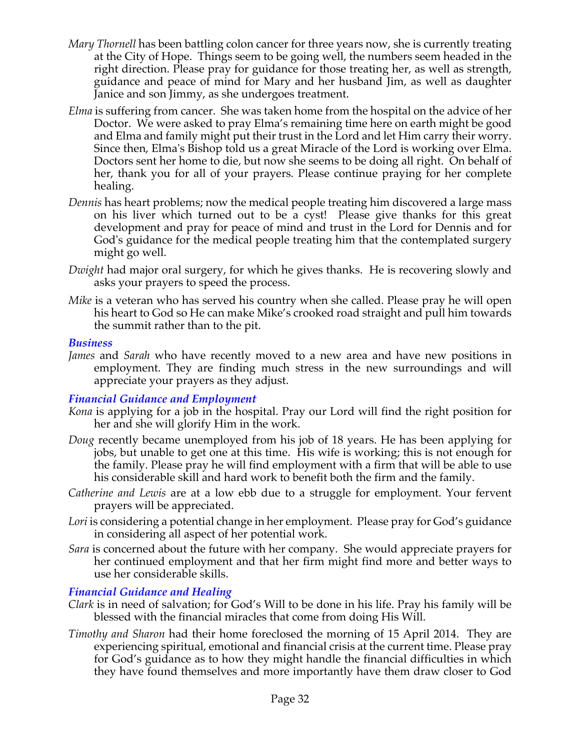- *Mary Thornell* has been battling colon cancer for three years now, she is currently treating at the City of Hope. Things seem to be going well, the numbers seem headed in the right direction. Please pray for guidance for those treating her, as well as strength, guidance and peace of mind for Mary and her husband Jim, as well as daughter Janice and son Jimmy, as she undergoes treatment.
- *Elma* is suffering from cancer. She was taken home from the hospital on the advice of her Doctor. We were asked to pray Elma's remaining time here on earth might be good and Elma and family might put their trust in the Lord and let Him carry their worry. Since then, Elma's Bishop told us a great Miracle of the Lord is working over Elma. Doctors sent her home to die, but now she seems to be doing all right. On behalf of her, thank you for all of your prayers. Please continue praying for her complete healing.
- *Dennis* has heart problems; now the medical people treating him discovered a large mass on his liver which turned out to be a cyst! Please give thanks for this great development and pray for peace of mind and trust in the Lord for Dennis and for God's guidance for the medical people treating him that the contemplated surgery might go well.
- *Dwight* had major oral surgery, for which he gives thanks. He is recovering slowly and asks your prayers to speed the process.
- *Mike* is a veteran who has served his country when she called. Please pray he will open his heart to God so He can make Mike's crooked road straight and pull him towards the summit rather than to the pit.

#### *Business*

*James* and *Sarah* who have recently moved to a new area and have new positions in employment. They are finding much stress in the new surroundings and will appreciate your prayers as they adjust.

## *Financial Guidance and Employment*

- *Kona* is applying for a job in the hospital. Pray our Lord will find the right position for her and she will glorify Him in the work.
- *Doug* recently became unemployed from his job of 18 years. He has been applying for jobs, but unable to get one at this time. His wife is working; this is not enough for the family. Please pray he will find employment with a firm that will be able to use his considerable skill and hard work to benefit both the firm and the family.
- *Catherine and Lewis* are at a low ebb due to a struggle for employment. Your fervent prayers will be appreciated.
- *Lori* is considering a potential change in her employment. Please pray for God's guidance in considering all aspect of her potential work.
- *Sara* is concerned about the future with her company. She would appreciate prayers for her continued employment and that her firm might find more and better ways to use her considerable skills.

#### *Financial Guidance and Healing*

- *Clark* is in need of salvation; for God's Will to be done in his life. Pray his family will be blessed with the financial miracles that come from doing His Will.
- *Timothy and Sharon* had their home foreclosed the morning of 15 April 2014. They are experiencing spiritual, emotional and financial crisis at the current time. Please pray for God's guidance as to how they might handle the financial difficulties in which they have found themselves and more importantly have them draw closer to God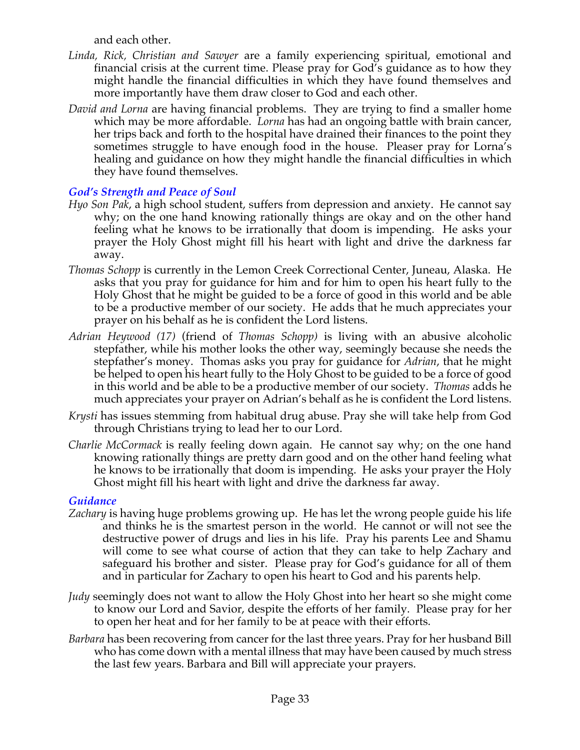and each other.

- *Linda, Rick, Christian and Sawyer* are a family experiencing spiritual, emotional and financial crisis at the current time. Please pray for God's guidance as to how they might handle the financial difficulties in which they have found themselves and more importantly have them draw closer to God and each other.
- *David and Lorna* are having financial problems. They are trying to find a smaller home which may be more affordable. *Lorna* has had an ongoing battle with brain cancer, her trips back and forth to the hospital have drained their finances to the point they sometimes struggle to have enough food in the house. Pleaser pray for Lorna's healing and guidance on how they might handle the financial difficulties in which they have found themselves.

## *God's Strength and Peace of Soul*

- *Hyo Son Pak*, a high school student, suffers from depression and anxiety. He cannot say why; on the one hand knowing rationally things are okay and on the other hand feeling what he knows to be irrationally that doom is impending. He asks your prayer the Holy Ghost might fill his heart with light and drive the darkness far away.
- *Thomas Schopp* is currently in the Lemon Creek Correctional Center, Juneau, Alaska. He asks that you pray for guidance for him and for him to open his heart fully to the Holy Ghost that he might be guided to be a force of good in this world and be able to be a productive member of our society. He adds that he much appreciates your prayer on his behalf as he is confident the Lord listens.
- *Adrian Heywood (17)* (friend of *Thomas Schopp)* is living with an abusive alcoholic stepfather, while his mother looks the other way, seemingly because she needs the stepfather's money. Thomas asks you pray for guidance for *Adrian*, that he might be helped to open his heart fully to the Holy Ghost to be guided to be a force of good in this world and be able to be a productive member of our society. *Thomas* adds he much appreciates your prayer on Adrian's behalf as he is confident the Lord listens.
- *Krysti* has issues stemming from habitual drug abuse. Pray she will take help from God through Christians trying to lead her to our Lord.
- *Charlie McCormack* is really feeling down again. He cannot say why; on the one hand knowing rationally things are pretty darn good and on the other hand feeling what he knows to be irrationally that doom is impending. He asks your prayer the Holy Ghost might fill his heart with light and drive the darkness far away.

## *Guidance*

- *Zachary* is having huge problems growing up. He has let the wrong people guide his life and thinks he is the smartest person in the world. He cannot or will not see the destructive power of drugs and lies in his life. Pray his parents Lee and Shamu will come to see what course of action that they can take to help Zachary and safeguard his brother and sister. Please pray for God's guidance for all of them and in particular for Zachary to open his heart to God and his parents help.
- *Judy* seemingly does not want to allow the Holy Ghost into her heart so she might come to know our Lord and Savior, despite the efforts of her family. Please pray for her to open her heat and for her family to be at peace with their efforts.
- *Barbara* has been recovering from cancer for the last three years. Pray for her husband Bill who has come down with a mental illness that may have been caused by much stress the last few years. Barbara and Bill will appreciate your prayers.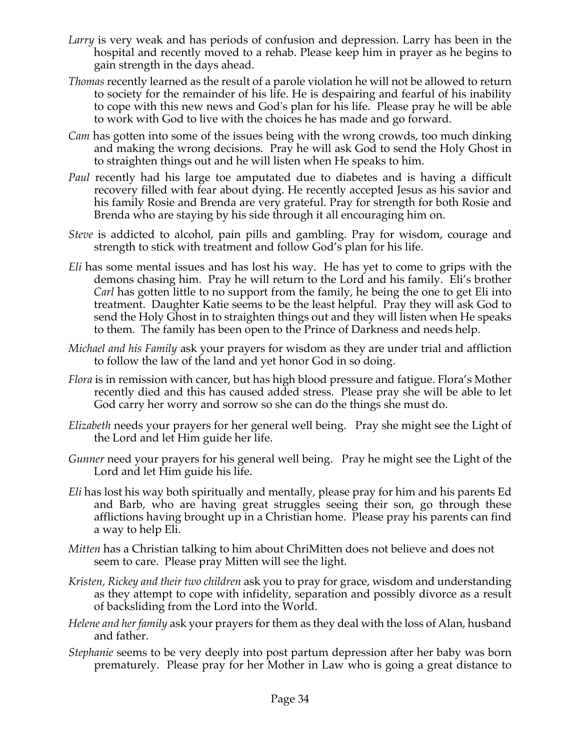- *Larry* is very weak and has periods of confusion and depression. Larry has been in the hospital and recently moved to a rehab. Please keep him in prayer as he begins to gain strength in the days ahead.
- *Thomas* recently learned as the result of a parole violation he will not be allowed to return to society for the remainder of his life. He is despairing and fearful of his inability to cope with this new news and God's plan for his life. Please pray he will be able to work with God to live with the choices he has made and go forward.
- *Cam* has gotten into some of the issues being with the wrong crowds, too much dinking and making the wrong decisions. Pray he will ask God to send the Holy Ghost in to straighten things out and he will listen when He speaks to him.
- *Paul* recently had his large toe amputated due to diabetes and is having a difficult recovery filled with fear about dying. He recently accepted Jesus as his savior and his family Rosie and Brenda are very grateful. Pray for strength for both Rosie and Brenda who are staying by his side through it all encouraging him on.
- *Steve* is addicted to alcohol, pain pills and gambling. Pray for wisdom, courage and strength to stick with treatment and follow God's plan for his life.
- *Eli* has some mental issues and has lost his way. He has yet to come to grips with the demons chasing him. Pray he will return to the Lord and his family. Eli's brother *Carl* has gotten little to no support from the family, he being the one to get Eli into treatment. Daughter Katie seems to be the least helpful. Pray they will ask God to send the Holy Ghost in to straighten things out and they will listen when He speaks to them. The family has been open to the Prince of Darkness and needs help.
- *Michael and his Family* ask your prayers for wisdom as they are under trial and affliction to follow the law of the land and yet honor God in so doing.
- *Flora* is in remission with cancer, but has high blood pressure and fatigue. Flora's Mother recently died and this has caused added stress. Please pray she will be able to let God carry her worry and sorrow so she can do the things she must do.
- *Elizabeth* needs your prayers for her general well being. Pray she might see the Light of the Lord and let Him guide her life.
- *Gunner* need your prayers for his general well being. Pray he might see the Light of the Lord and let Him guide his life.
- *Eli* has lost his way both spiritually and mentally, please pray for him and his parents Ed and Barb, who are having great struggles seeing their son, go through these afflictions having brought up in a Christian home. Please pray his parents can find a way to help Eli.
- *Mitten* has a Christian talking to him about ChriMitten does not believe and does not seem to care. Please pray Mitten will see the light.
- *Kristen, Rickey and their two children* ask you to pray for grace, wisdom and understanding as they attempt to cope with infidelity, separation and possibly divorce as a result of backsliding from the Lord into the World.
- *Helene and her family* ask your prayers for them as they deal with the loss of Alan, husband and father.
- *Stephanie* seems to be very deeply into post partum depression after her baby was born prematurely. Please pray for her Mother in Law who is going a great distance to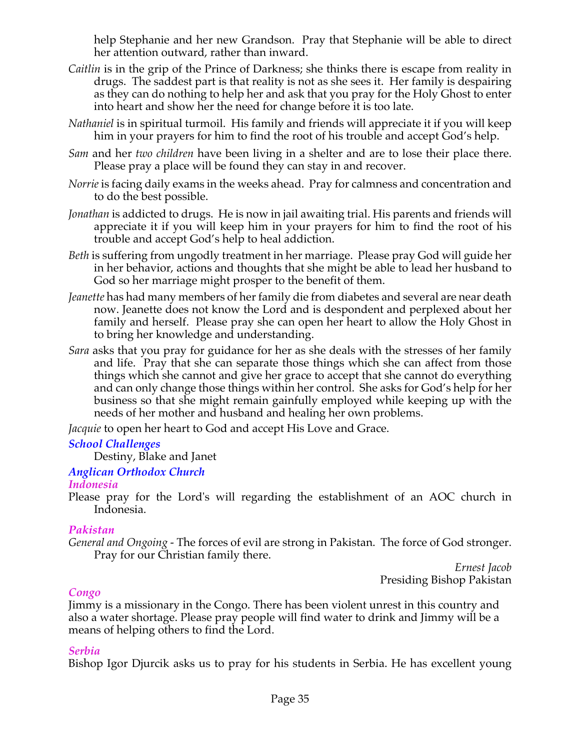help Stephanie and her new Grandson. Pray that Stephanie will be able to direct her attention outward, rather than inward.

- *Caitlin* is in the grip of the Prince of Darkness; she thinks there is escape from reality in drugs. The saddest part is that reality is not as she sees it. Her family is despairing as they can do nothing to help her and ask that you pray for the Holy Ghost to enter into heart and show her the need for change before it is too late.
- *Nathaniel* is in spiritual turmoil. His family and friends will appreciate it if you will keep him in your prayers for him to find the root of his trouble and accept God's help.
- *Sam* and her *two children* have been living in a shelter and are to lose their place there. Please pray a place will be found they can stay in and recover.
- *Norrie* is facing daily exams in the weeks ahead. Pray for calmness and concentration and to do the best possible.
- *Jonathan* is addicted to drugs. He is now in jail awaiting trial. His parents and friends will appreciate it if you will keep him in your prayers for him to find the root of his trouble and accept God's help to heal addiction.
- *Beth* is suffering from ungodly treatment in her marriage. Please pray God will guide her in her behavior, actions and thoughts that she might be able to lead her husband to God so her marriage might prosper to the benefit of them.
- *Jeanette* has had many members of her family die from diabetes and several are near death now. Jeanette does not know the Lord and is despondent and perplexed about her family and herself. Please pray she can open her heart to allow the Holy Ghost in to bring her knowledge and understanding.
- *Sara* asks that you pray for guidance for her as she deals with the stresses of her family and life. Pray that she can separate those things which she can affect from those things which she cannot and give her grace to accept that she cannot do everything and can only change those things within her control. She asks for God's help for her business so that she might remain gainfully employed while keeping up with the needs of her mother and husband and healing her own problems.

*Jacquie* to open her heart to God and accept His Love and Grace.

## *School Challenges*

Destiny, Blake and Janet

## *Anglican Orthodox Church*

## *Indonesia*

Please pray for the Lord's will regarding the establishment of an AOC church in Indonesia.

## *Pakistan*

*General and Ongoing -* The forces of evil are strong in Pakistan. The force of God stronger. Pray for our Christian family there.

*Ernest Jacob* Presiding Bishop Pakistan

## *Congo*

Jimmy is a missionary in the Congo. There has been violent unrest in this country and also a water shortage. Please pray people will find water to drink and Jimmy will be a means of helping others to find the Lord.

## *Serbia*

Bishop Igor Djurcik asks us to pray for his students in Serbia. He has excellent young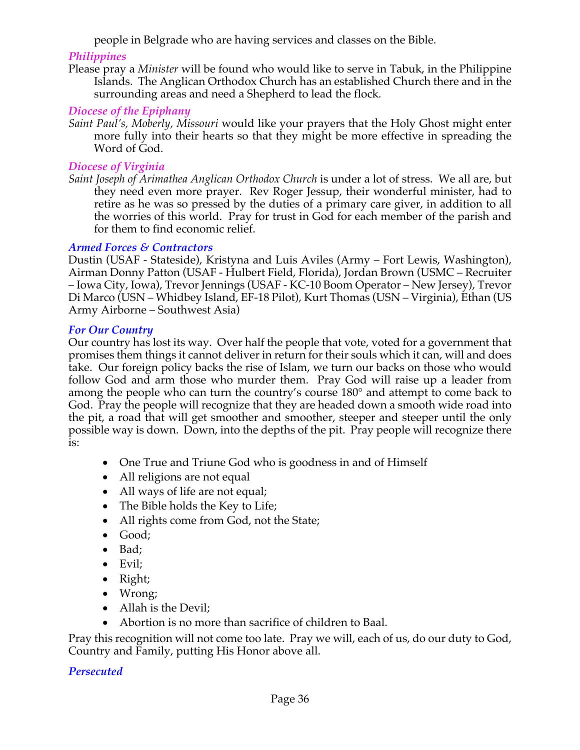people in Belgrade who are having services and classes on the Bible.

## *Philippines*

Please pray a *Minister* will be found who would like to serve in Tabuk, in the Philippine Islands. The Anglican Orthodox Church has an established Church there and in the surrounding areas and need a Shepherd to lead the flock*.*

## *Diocese of the Epiphany*

*Saint Paul's, Moberly, Missouri* would like your prayers that the Holy Ghost might enter more fully into their hearts so that they might be more effective in spreading the Word of God.

## *Diocese of Virginia*

*Saint Joseph of Arimathea Anglican Orthodox Church* is under a lot of stress. We all are, but they need even more prayer. Rev Roger Jessup, their wonderful minister, had to retire as he was so pressed by the duties of a primary care giver, in addition to all the worries of this world. Pray for trust in God for each member of the parish and for them to find economic relief.

## *Armed Forces & Contractors*

Dustin (USAF - Stateside), Kristyna and Luis Aviles (Army – Fort Lewis, Washington), Airman Donny Patton (USAF - Hulbert Field, Florida), Jordan Brown (USMC – Recruiter – Iowa City, Iowa), Trevor Jennings (USAF - KC-10 Boom Operator – New Jersey), Trevor Di Marco (USN – Whidbey Island, EF-18 Pilot), Kurt Thomas (USN – Virginia), Ethan (US Army Airborne – Southwest Asia)

## *For Our Country*

Our country has lost its way. Over half the people that vote, voted for a government that promises them things it cannot deliver in return for their souls which it can, will and does take. Our foreign policy backs the rise of Islam, we turn our backs on those who would follow God and arm those who murder them. Pray God will raise up a leader from among the people who can turn the country's course 180° and attempt to come back to God. Pray the people will recognize that they are headed down a smooth wide road into the pit, a road that will get smoother and smoother, steeper and steeper until the only possible way is down. Down, into the depths of the pit. Pray people will recognize there is:

- One True and Triune God who is goodness in and of Himself
- All religions are not equal
- All ways of life are not equal;
- The Bible holds the Key to Life;
- All rights come from God, not the State;
- Good;
- Bad;
- Evil;
- Right;
- Wrong;
- Allah is the Devil;
- Abortion is no more than sacrifice of children to Baal.

Pray this recognition will not come too late. Pray we will, each of us, do our duty to God, Country and Family, putting His Honor above all.

## *Persecuted*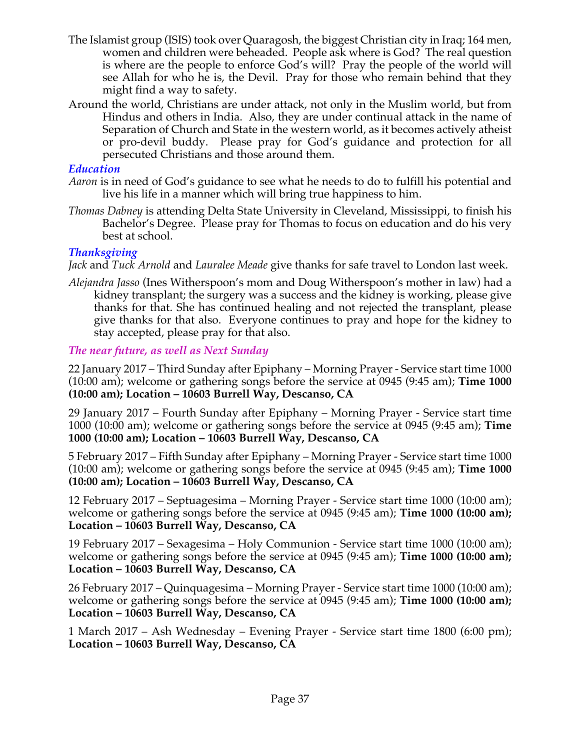- The Islamist group (ISIS) took over Quaragosh, the biggest Christian city in Iraq; 164 men, women and children were beheaded. People ask where is God? The real question is where are the people to enforce God's will? Pray the people of the world will see Allah for who he is, the Devil. Pray for those who remain behind that they might find a way to safety.
- Around the world, Christians are under attack, not only in the Muslim world, but from Hindus and others in India. Also, they are under continual attack in the name of Separation of Church and State in the western world, as it becomes actively atheist or pro-devil buddy. Please pray for God's guidance and protection for all persecuted Christians and those around them.

#### *Education*

- *Aaron* is in need of God's guidance to see what he needs to do to fulfill his potential and live his life in a manner which will bring true happiness to him.
- *Thomas Dabney* is attending Delta State University in Cleveland, Mississippi, to finish his Bachelor's Degree. Please pray for Thomas to focus on education and do his very best at school.

## *Thanksgiving*

*Jack* and *Tuck Arnold* and *Lauralee Meade* give thanks for safe travel to London last week.

*Alejandra Jasso* (Ines Witherspoon's mom and Doug Witherspoon's mother in law) had a kidney transplant; the surgery was a success and the kidney is working, please give thanks for that. She has continued healing and not rejected the transplant, please give thanks for that also. Everyone continues to pray and hope for the kidney to stay accepted, please pray for that also.

## *The near future, as well as Next Sunday*

22 January 2017 – Third Sunday after Epiphany – Morning Prayer - Service start time 1000 (10:00 am); welcome or gathering songs before the service at 0945 (9:45 am); **Time 1000 (10:00 am); Location – 10603 Burrell Way, Descanso, CA**

29 January 2017 – Fourth Sunday after Epiphany – Morning Prayer - Service start time 1000 (10:00 am); welcome or gathering songs before the service at 0945 (9:45 am); **Time 1000 (10:00 am); Location – 10603 Burrell Way, Descanso, CA**

5 February 2017 – Fifth Sunday after Epiphany – Morning Prayer - Service start time 1000 (10:00 am); welcome or gathering songs before the service at 0945 (9:45 am); **Time 1000 (10:00 am); Location – 10603 Burrell Way, Descanso, CA**

12 February 2017 – Septuagesima – Morning Prayer - Service start time 1000 (10:00 am); welcome or gathering songs before the service at 0945 (9:45 am); **Time 1000 (10:00 am); Location – 10603 Burrell Way, Descanso, CA**

19 February 2017 – Sexagesima – Holy Communion - Service start time 1000 (10:00 am); welcome or gathering songs before the service at 0945 (9:45 am); **Time 1000 (10:00 am); Location – 10603 Burrell Way, Descanso, CA**

26 February 2017 – Quinquagesima – Morning Prayer - Service start time 1000 (10:00 am); welcome or gathering songs before the service at 0945 (9:45 am); **Time 1000 (10:00 am); Location – 10603 Burrell Way, Descanso, CA**

1 March 2017 – Ash Wednesday – Evening Prayer - Service start time 1800 (6:00 pm); **Location – 10603 Burrell Way, Descanso, CA**